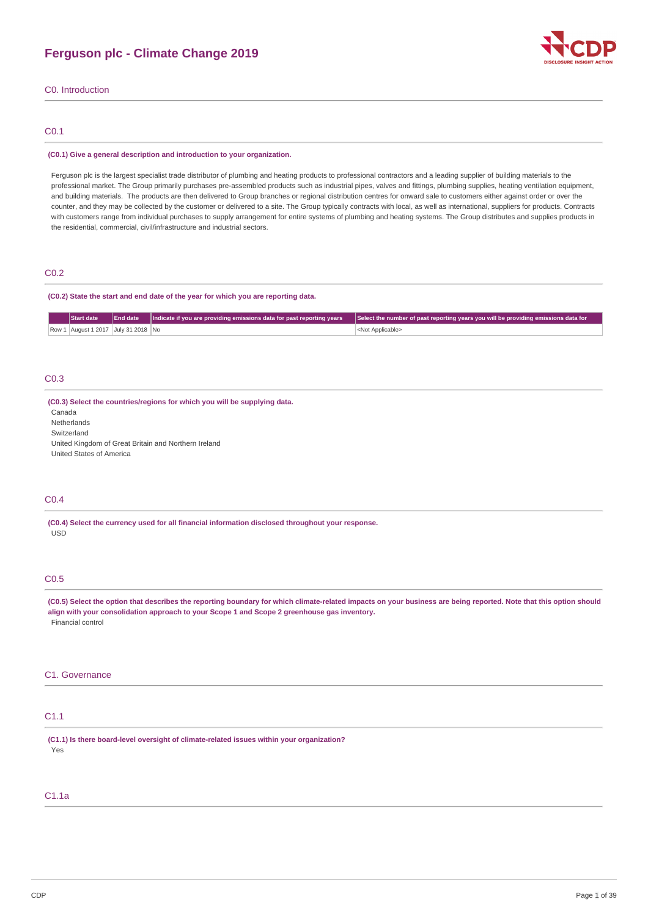

C0. Introduction

## C0.1

#### **(C0.1) Give a general description and introduction to your organization.**

Ferguson plc is the largest specialist trade distributor of plumbing and heating products to professional contractors and a leading supplier of building materials to the professional market. The Group primarily purchases pre-assembled products such as industrial pipes, valves and fittings, plumbing supplies, heating ventilation equipment, and building materials. The products are then delivered to Group branches or regional distribution centres for onward sale to customers either against order or over the counter, and they may be collected by the customer or delivered to a site. The Group typically contracts with local, as well as international, suppliers for products. Contracts with customers range from individual purchases to supply arrangement for entire systems of plumbing and heating systems. The Group distributes and supplies products in the residential, commercial, civil/infrastructure and industrial sectors.

## C<sub>0.2</sub>

#### **(C0.2) State the start and end date of the year for which you are reporting data.**

| Start date                          | End date   Indicate if you are providing emissions data for past reporting years | Select the number of past reporting years you will be providing emissions data for |
|-------------------------------------|----------------------------------------------------------------------------------|------------------------------------------------------------------------------------|
| Row 1 August 1 2017 July 31 2018 No |                                                                                  | <not applicable=""></not>                                                          |

## C0.3

**(C0.3) Select the countries/regions for which you will be supplying data.**

Canada

Netherlands Switzerland

United Kingdom of Great Britain and Northern Ireland

United States of America

## C0.4

**(C0.4) Select the currency used for all financial information disclosed throughout your response.** USD

## C0.5

(C0.5) Select the option that describes the reporting boundary for which climate-related impacts on your business are being reported. Note that this option should **align with your consolidation approach to your Scope 1 and Scope 2 greenhouse gas inventory.** Financial control

## C1. Governance

## C1.1

**(C1.1) Is there board-level oversight of climate-related issues within your organization?** Yes

## C1.1a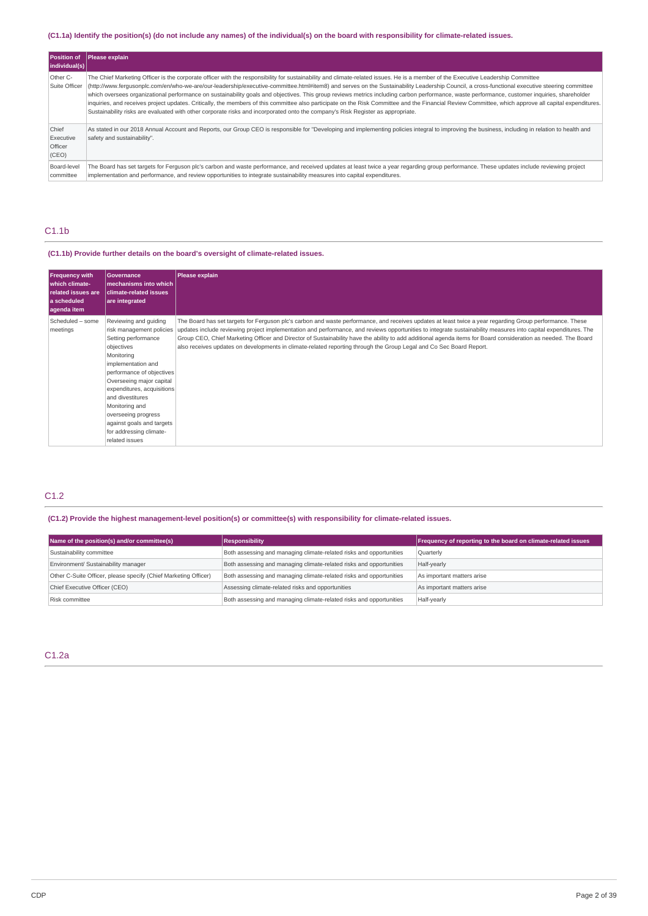## (C1.1a) Identify the position(s) (do not include any names) of the individual(s) on the board with responsibility for climate-related issues.

| Position of<br>individual(s)           | Please explain                                                                                                                                                                                                                                                                                                                                                                                                                                                                                                                                                                                                                                                                                                                                                                                                                                                                                                                 |
|----------------------------------------|--------------------------------------------------------------------------------------------------------------------------------------------------------------------------------------------------------------------------------------------------------------------------------------------------------------------------------------------------------------------------------------------------------------------------------------------------------------------------------------------------------------------------------------------------------------------------------------------------------------------------------------------------------------------------------------------------------------------------------------------------------------------------------------------------------------------------------------------------------------------------------------------------------------------------------|
| Other C-<br>Suite Officer              | The Chief Marketing Officer is the corporate officer with the responsibility for sustainability and climate-related issues. He is a member of the Executive Leadership Committee<br>(http://www.ferqusonplc.com/en/who-we-are/our-leadership/executive-committee.html#item8) and serves on the Sustainability Leadership Council, a cross-functional executive steering committee<br>which oversees organizational performance on sustainability goals and objectives. This group reviews metrics including carbon performance, waste performance, customer inquiries, shareholder<br>inquiries, and receives project updates. Critically, the members of this committee also participate on the Risk Committee and the Financial Review Committee, which approve all capital expenditures.<br>Sustainability risks are evaluated with other corporate risks and incorporated onto the company's Risk Register as appropriate. |
| Chief<br>Executive<br>Officer<br>(CEO) | As stated in our 2018 Annual Account and Reports, our Group CEO is responsible for "Developing and implementing policies integral to improving the business, including in relation to health and<br>safety and sustainability".                                                                                                                                                                                                                                                                                                                                                                                                                                                                                                                                                                                                                                                                                                |
| Board-level<br>committee               | The Board has set targets for Ferguson plc's carbon and waste performance, and received updates at least twice a year regarding group performance. These updates include reviewing project<br>implementation and performance, and review opportunities to integrate sustainability measures into capital expenditures.                                                                                                                                                                                                                                                                                                                                                                                                                                                                                                                                                                                                         |

## C1.1b

## **(C1.1b) Provide further details on the board's oversight of climate-related issues.**

| <b>Frequency with</b><br>which climate-<br>related issues are<br>a scheduled<br>agenda item | Governance<br>mechanisms into which<br><b>climate-related issues</b><br>are integrated                                                                                                                                                                                                                                                                   | Please explain                                                                                                                                                                                                                                                                                                                                                                                                                                                                                                                                                                                                       |
|---------------------------------------------------------------------------------------------|----------------------------------------------------------------------------------------------------------------------------------------------------------------------------------------------------------------------------------------------------------------------------------------------------------------------------------------------------------|----------------------------------------------------------------------------------------------------------------------------------------------------------------------------------------------------------------------------------------------------------------------------------------------------------------------------------------------------------------------------------------------------------------------------------------------------------------------------------------------------------------------------------------------------------------------------------------------------------------------|
| Scheduled - some<br>meetings                                                                | Reviewing and quiding<br>risk management policies<br>Setting performance<br>objectives<br>Monitoring<br>implementation and<br>performance of objectives<br>Overseeing major capital<br>expenditures, acquisitions<br>and divestitures<br>Monitoring and<br>overseeing progress<br>against goals and targets<br>for addressing climate-<br>related issues | The Board has set targets for Ferguson plc's carbon and waste performance, and receives updates at least twice a year regarding Group performance. These<br>updates include reviewing project implementation and performance, and reviews opportunities to integrate sustainability measures into capital expenditures. The<br>Group CEO, Chief Marketing Officer and Director of Sustainability have the ability to add additional agenda items for Board consideration as needed. The Board<br>also receives updates on developments in climate-related reporting through the Group Legal and Co Sec Board Report. |

## C1.2

## **(C1.2) Provide the highest management-level position(s) or committee(s) with responsibility for climate-related issues.**

| Name of the position(s) and/or committee(s)                     | <b>Responsibility</b>                                               | Frequency of reporting to the board on climate-related issues |
|-----------------------------------------------------------------|---------------------------------------------------------------------|---------------------------------------------------------------|
| Sustainability committee                                        | Both assessing and managing climate-related risks and opportunities | Quarterly                                                     |
| Environment/ Sustainability manager                             | Both assessing and managing climate-related risks and opportunities | Half-yearly                                                   |
| Other C-Suite Officer, please specify (Chief Marketing Officer) | Both assessing and managing climate-related risks and opportunities | As important matters arise                                    |
| Chief Executive Officer (CEO)                                   | Assessing climate-related risks and opportunities                   | As important matters arise                                    |
| Risk committee                                                  | Both assessing and managing climate-related risks and opportunities | Half-yearly                                                   |

## C1.2a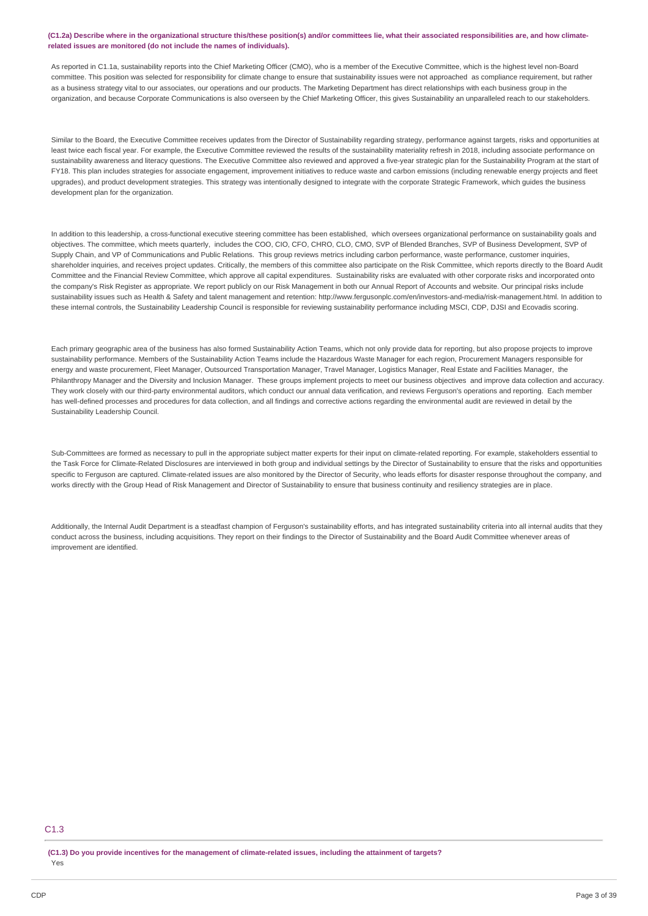#### (C1.2a) Describe where in the organizational structure this/these position(s) and/or committees lie, what their associated responsibilities are, and how climate**related issues are monitored (do not include the names of individuals).**

As reported in C1.1a, sustainability reports into the Chief Marketing Officer (CMO), who is a member of the Executive Committee, which is the highest level non-Board committee. This position was selected for responsibility for climate change to ensure that sustainability issues were not approached as compliance requirement, but rather as a business strategy vital to our associates, our operations and our products. The Marketing Department has direct relationships with each business group in the organization, and because Corporate Communications is also overseen by the Chief Marketing Officer, this gives Sustainability an unparalleled reach to our stakeholders.

Similar to the Board, the Executive Committee receives updates from the Director of Sustainability regarding strategy, performance against targets, risks and opportunities at least twice each fiscal year. For example, the Executive Committee reviewed the results of the sustainability materiality refresh in 2018, including associate performance on sustainability awareness and literacy questions. The Executive Committee also reviewed and approved a five-year strategic plan for the Sustainability Program at the start of FY18. This plan includes strategies for associate engagement, improvement initiatives to reduce waste and carbon emissions (including renewable energy projects and fleet upgrades), and product development strategies. This strategy was intentionally designed to integrate with the corporate Strategic Framework, which guides the business development plan for the organization.

In addition to this leadership, a cross-functional executive steering committee has been established, which oversees organizational performance on sustainability goals and objectives. The committee, which meets quarterly, includes the COO, CIO, CFO, CHRO, CLO, CMO, SVP of Blended Branches, SVP of Business Development, SVP of Supply Chain, and VP of Communications and Public Relations. This group reviews metrics including carbon performance, waste performance, customer inquiries, shareholder inquiries, and receives project updates. Critically, the members of this committee also participate on the Risk Committee, which reports directly to the Board Audit Committee and the Financial Review Committee, which approve all capital expenditures. Sustainability risks are evaluated with other corporate risks and incorporated onto the company's Risk Register as appropriate. We report publicly on our Risk Management in both our Annual Report of Accounts and website. Our principal risks include sustainability issues such as Health & Safety and talent management and retention: http://www.fergusonplc.com/en/investors-and-media/risk-management.html. In addition to these internal controls, the Sustainability Leadership Council is responsible for reviewing sustainability performance including MSCI, CDP, DJSI and Ecovadis scoring.

Each primary geographic area of the business has also formed Sustainability Action Teams, which not only provide data for reporting, but also propose projects to improve sustainability performance. Members of the Sustainability Action Teams include the Hazardous Waste Manager for each region, Procurement Managers responsible for energy and waste procurement, Fleet Manager, Outsourced Transportation Manager, Travel Manager, Logistics Manager, Real Estate and Facilities Manager, the Philanthropy Manager and the Diversity and Inclusion Manager. These groups implement projects to meet our business objectives and improve data collection and accuracy. They work closely with our third-party environmental auditors, which conduct our annual data verification, and reviews Ferguson's operations and reporting. Each member has well-defined processes and procedures for data collection, and all findings and corrective actions regarding the environmental audit are reviewed in detail by the Sustainability Leadership Council.

Sub-Committees are formed as necessary to pull in the appropriate subject matter experts for their input on climate-related reporting. For example, stakeholders essential to the Task Force for Climate-Related Disclosures are interviewed in both group and individual settings by the Director of Sustainability to ensure that the risks and opportunities specific to Ferguson are captured. Climate-related issues are also monitored by the Director of Security, who leads efforts for disaster response throughout the company, and works directly with the Group Head of Risk Management and Director of Sustainability to ensure that business continuity and resiliency strategies are in place.

Additionally, the Internal Audit Department is a steadfast champion of Ferguson's sustainability efforts, and has integrated sustainability criteria into all internal audits that they conduct across the business, including acquisitions. They report on their findings to the Director of Sustainability and the Board Audit Committee whenever areas of improvement are identified.

## C1.3

(C1.3) Do you provide incentives for the management of climate-related issues, including the attainment of targets? Yes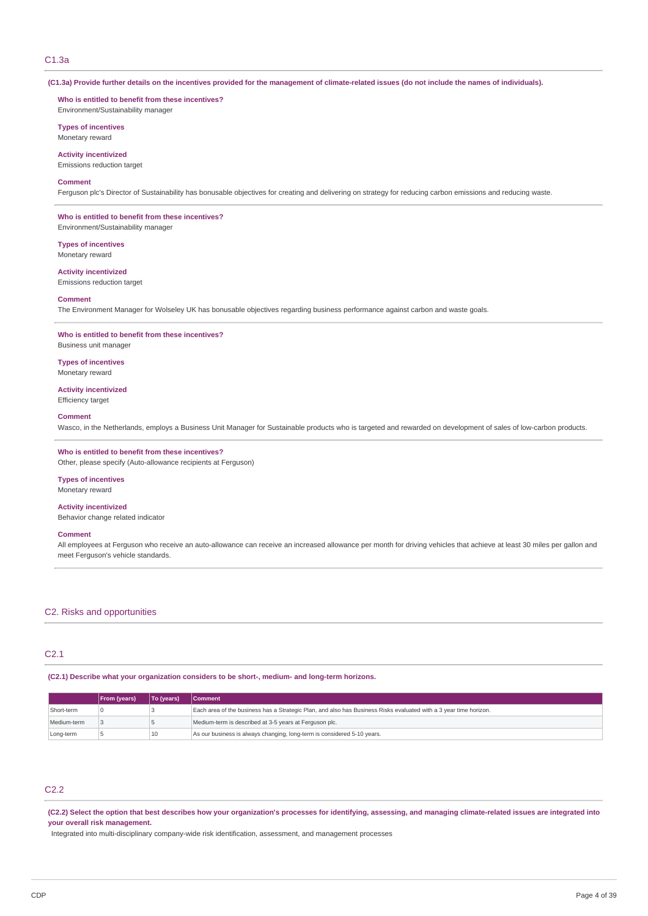## C1.3a

(C1.3a) Provide further details on the incentives provided for the management of climate-related issues (do not include the names of individuals).

**Who is entitled to benefit from these incentives?** Environment/Sustainability manager

**Types of incentives** Monetary reward

**Activity incentivized**

Emissions reduction target

#### **Comment**

Ferguson plc's Director of Sustainability has bonusable objectives for creating and delivering on strategy for reducing carbon emissions and reducing waste.

**Who is entitled to benefit from these incentives?** Environment/Sustainability manager

**Types of incentives** Monetary reward

**Activity incentivized** Emissions reduction target

#### **Comment**

The Environment Manager for Wolseley UK has bonusable objectives regarding business performance against carbon and waste goals.

#### **Who is entitled to benefit from these incentives?**

Business unit manager

**Types of incentives** Monetary reward

**Activity incentivized** Efficiency target

#### **Comment**

Wasco, in the Netherlands, employs a Business Unit Manager for Sustainable products who is targeted and rewarded on development of sales of low-carbon products.

## **Who is entitled to benefit from these incentives?**

Other, please specify (Auto-allowance recipients at Ferguson)

## **Types of incentives**

Monetary reward

## **Activity incentivized**

Behavior change related indicator

#### **Comment**

All employees at Ferguson who receive an auto-allowance can receive an increased allowance per month for driving vehicles that achieve at least 30 miles per gallon and meet Ferguson's vehicle standards.

## C2. Risks and opportunities

## C2.1

**(C2.1) Describe what your organization considers to be short-, medium- and long-term horizons.**

|             | <b>From (years)</b> | To (years) | <b>Comment</b>                                                                                                    |
|-------------|---------------------|------------|-------------------------------------------------------------------------------------------------------------------|
| Short-term  |                     |            | Each area of the business has a Strategic Plan, and also has Business Risks evaluated with a 3 year time horizon. |
| Medium-term |                     |            | Medium-term is described at 3-5 years at Ferguson plc.                                                            |
| Long-term   |                     | 10         | As our business is always changing, long-term is considered 5-10 years.                                           |

## C2.2

(C2.2) Select the option that best describes how your organization's processes for identifying, assessing, and managing climate-related issues are integrated into **your overall risk management.**

Integrated into multi-disciplinary company-wide risk identification, assessment, and management processes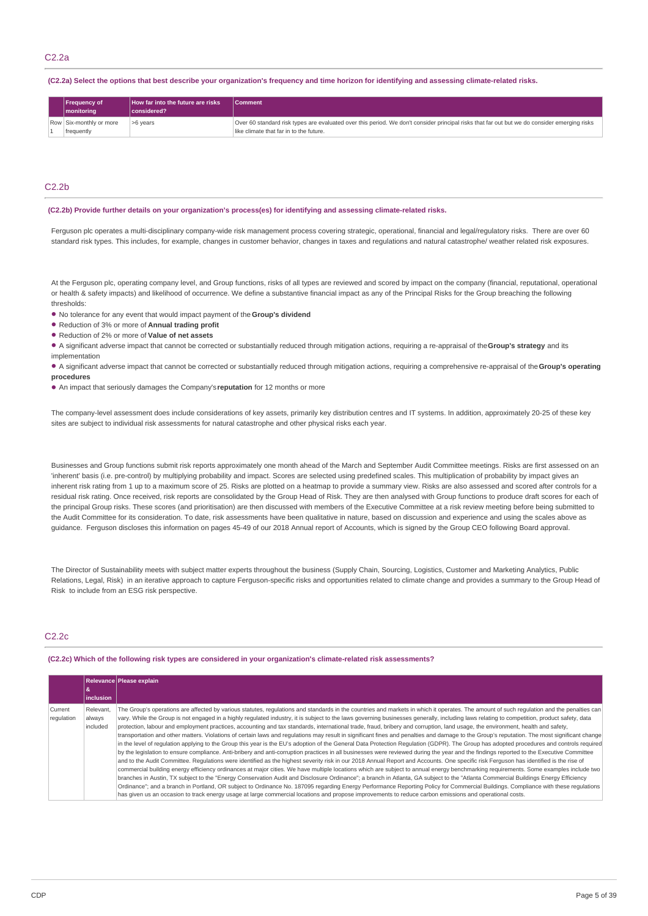(C2.2a) Select the options that best describe your organization's frequency and time horizon for identifying and assessing climate-related risks.

| <b>Frequency of</b><br>monitoring | How far into the future are risks<br>considered? | <b>Comment</b>                                                                                                                               |
|-----------------------------------|--------------------------------------------------|----------------------------------------------------------------------------------------------------------------------------------------------|
| Row Six-monthly or more           | >6 years                                         | Over 60 standard risk types are evaluated over this period. We don't consider principal risks that far out but we do consider emerging risks |
| frequently                        |                                                  | like climate that far in to the future.                                                                                                      |

## C2.2b

#### **(C2.2b) Provide further details on your organization's process(es) for identifying and assessing climate-related risks.**

Ferguson plc operates a multi-disciplinary company-wide risk management process covering strategic, operational, financial and legal/regulatory risks. There are over 60 standard risk types. This includes, for example, changes in customer behavior, changes in taxes and regulations and natural catastrophe/ weather related risk exposures.

At the Ferguson plc, operating company level, and Group functions, risks of all types are reviewed and scored by impact on the company (financial, reputational, operational or health & safety impacts) and likelihood of occurrence. We define a substantive financial impact as any of the Principal Risks for the Group breaching the following thresholds:

No tolerance for any event that would impact payment of the **Group's dividend** •

- Reduction of 3% or more of **Annual trading profit** •
- Reduction of 2% or more of **Value of net assets** •

A significant adverse impact that cannot be corrected or substantially reduced through mitigation actions, requiring a re-appraisal of the**Group's strategy** and its • implementation

A significant adverse impact that cannot be corrected or substantially reduced through mitigation actions, requiring a comprehensive re-appraisal of the**Group's operating** • **procedures**

**▪ An impact that seriously damages the Company's <b>reputation** for 12 months or more

The company-level assessment does include considerations of key assets, primarily key distribution centres and IT systems. In addition, approximately 20-25 of these key sites are subject to individual risk assessments for natural catastrophe and other physical risks each year.

Businesses and Group functions submit risk reports approximately one month ahead of the March and September Audit Committee meetings. Risks are first assessed on an 'inherent' basis (i.e. pre-control) by multiplying probability and impact. Scores are selected using predefined scales. This multiplication of probability by impact gives an inherent risk rating from 1 up to a maximum score of 25. Risks are plotted on a heatmap to provide a summary view. Risks are also assessed and scored after controls for a residual risk rating. Once received, risk reports are consolidated by the Group Head of Risk. They are then analysed with Group functions to produce draft scores for each of the principal Group risks. These scores (and prioritisation) are then discussed with members of the Executive Committee at a risk review meeting before being submitted to the Audit Committee for its consideration. To date, risk assessments have been qualitative in nature, based on discussion and experience and using the scales above as guidance. Ferguson discloses this information on pages 45-49 of our 2018 Annual report of Accounts, which is signed by the Group CEO following Board approval.

The Director of Sustainability meets with subject matter experts throughout the business (Supply Chain, Sourcing, Logistics, Customer and Marketing Analytics, Public Relations, Legal, Risk) in an iterative approach to capture Ferguson-specific risks and opportunities related to climate change and provides a summary to the Group Head of Risk to include from an ESG risk perspective.

## C2.2c

#### **(C2.2c) Which of the following risk types are considered in your organization's climate-related risk assessments?**

|                       | &<br>linclusion                 | Relevance Please explain                                                                                                                                                                                                                                                                                                                                                                                                                                                                                                                                                                                                                                                                                                                                                                                                                                                                                                                                                                                                                                                                                                                                                                                                                                                                                                                                                                                                                                                                                                                                                                                                                                                                                                                                                                                                                                                                                                                                                                                                                                                                   |
|-----------------------|---------------------------------|--------------------------------------------------------------------------------------------------------------------------------------------------------------------------------------------------------------------------------------------------------------------------------------------------------------------------------------------------------------------------------------------------------------------------------------------------------------------------------------------------------------------------------------------------------------------------------------------------------------------------------------------------------------------------------------------------------------------------------------------------------------------------------------------------------------------------------------------------------------------------------------------------------------------------------------------------------------------------------------------------------------------------------------------------------------------------------------------------------------------------------------------------------------------------------------------------------------------------------------------------------------------------------------------------------------------------------------------------------------------------------------------------------------------------------------------------------------------------------------------------------------------------------------------------------------------------------------------------------------------------------------------------------------------------------------------------------------------------------------------------------------------------------------------------------------------------------------------------------------------------------------------------------------------------------------------------------------------------------------------------------------------------------------------------------------------------------------------|
| Current<br>regulation | Relevant.<br>always<br>included | The Group's operations are affected by various statutes, requlations and standards in the countries and markets in which it operates. The amount of such requlation and the penalties can<br>vary. While the Group is not engaged in a highly regulated industry, it is subject to the laws governing businesses generally, including laws relating to competition, product safety, data<br>protection, labour and employment practices, accounting and tax standards, international trade, fraud, bribery and corruption, land usage, the environment, health and safety,<br>transportation and other matters. Violations of certain laws and requlations may result in significant fines and penalties and damage to the Group's reputation. The most significant change<br>in the level of requlation applying to the Group this year is the EU's adoption of the General Data Protection Regulation (GDPR). The Group has adopted procedures and controls required<br>by the legislation to ensure compliance. Anti-bribery and anti-corruption practices in all businesses were reviewed during the year and the findings reported to the Executive Committee<br>and to the Audit Committee. Regulations were identified as the highest severity risk in our 2018 Annual Report and Accounts. One specific risk Ferguson has identified is the rise of<br>commercial building energy efficiency ordinances at major cities. We have multiple locations which are subject to annual energy benchmarking requirements. Some examples include two<br>branches in Austin, TX subject to the "Energy Conservation Audit and Disclosure Ordinance"; a branch in Atlanta, GA subject to the "Atlanta Commercial Buildings Energy Efficiency<br>Ordinance"; and a branch in Portland, OR subject to Ordinance No. 187095 regarding Energy Performance Reporting Policy for Commercial Buildings. Compliance with these regulations<br>has given us an occasion to track energy usage at large commercial locations and propose improvements to reduce carbon emissions and operational costs. |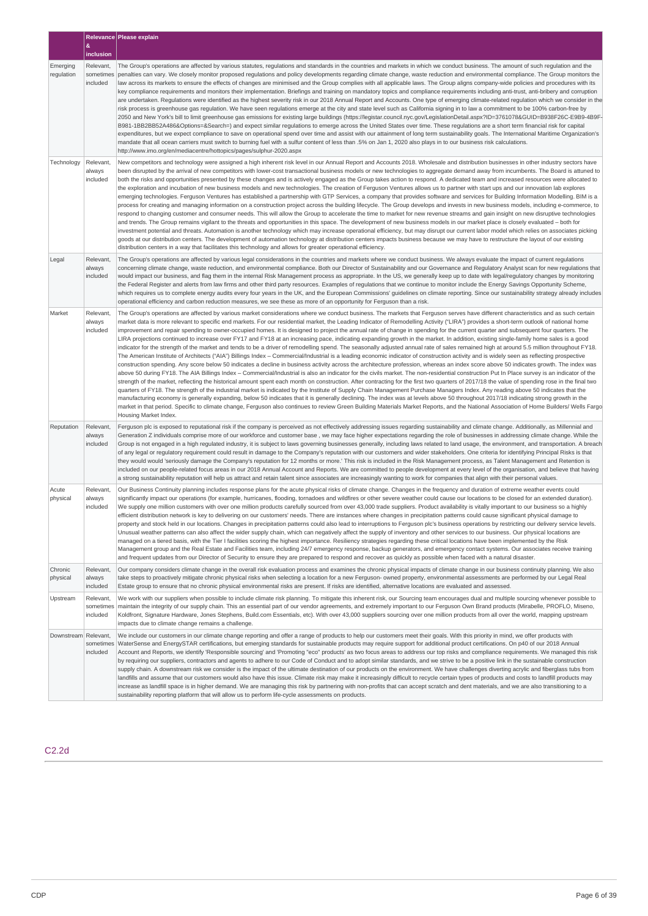|                        |                                    | Relevance Please explain                                                                                                                                                                                                                                                                                                                                                                                                                                                                                                                                                                                                                                                                                                                                                                                                                                                                                                                                                                                                                                                                                                                                                                                                                                                                                                                                                                                                                                                                                                                                                                                                                                                                                                                                                                                                                                                                                                                                                                                                                                                                                                                                                                                                                                                                                                                             |
|------------------------|------------------------------------|------------------------------------------------------------------------------------------------------------------------------------------------------------------------------------------------------------------------------------------------------------------------------------------------------------------------------------------------------------------------------------------------------------------------------------------------------------------------------------------------------------------------------------------------------------------------------------------------------------------------------------------------------------------------------------------------------------------------------------------------------------------------------------------------------------------------------------------------------------------------------------------------------------------------------------------------------------------------------------------------------------------------------------------------------------------------------------------------------------------------------------------------------------------------------------------------------------------------------------------------------------------------------------------------------------------------------------------------------------------------------------------------------------------------------------------------------------------------------------------------------------------------------------------------------------------------------------------------------------------------------------------------------------------------------------------------------------------------------------------------------------------------------------------------------------------------------------------------------------------------------------------------------------------------------------------------------------------------------------------------------------------------------------------------------------------------------------------------------------------------------------------------------------------------------------------------------------------------------------------------------------------------------------------------------------------------------------------------------|
|                        | 8<br>inclusion                     |                                                                                                                                                                                                                                                                                                                                                                                                                                                                                                                                                                                                                                                                                                                                                                                                                                                                                                                                                                                                                                                                                                                                                                                                                                                                                                                                                                                                                                                                                                                                                                                                                                                                                                                                                                                                                                                                                                                                                                                                                                                                                                                                                                                                                                                                                                                                                      |
| Emerging<br>regulation | Relevant,<br>sometimes<br>included | The Group's operations are affected by various statutes, regulations and standards in the countries and markets in which we conduct business. The amount of such regulation and the<br>penalties can vary. We closely monitor proposed regulations and policy developments regarding climate change, waste reduction and environmental compliance. The Group monitors the<br>law across its markets to ensure the effects of changes are minimised and the Group complies with all applicable laws. The Group aligns company-wide policies and procedures with its<br>key compliance requirements and monitors their implementation. Briefings and training on mandatory topics and compliance requirements including anti-trust, anti-bribery and corruption<br>are undertaken. Requlations were identified as the highest severity risk in our 2018 Annual Report and Accounts. One type of emerging climate-related requlation which we consider in the<br>risk process is greenhouse gas regulation. We have seen regulations emerge at the city and state level such as California signing in to law a commitment to be 100% carbon-free by<br>2050 and New York's bill to limit greenhouse gas emissions for existing large buildings (https://legistar.council.nyc.gov/LegislationDetail.aspx?ID=3761078&GUID=B938F26C-E9B9-4B9F-<br>B981-1BB2BB52A486&Options=&Search=) and expect similar regulations to emerge across the United States over time. These regulations are a short term financial risk for capital<br>expenditures, but we expect compliance to save on operational spend over time and assist with our attainment of long term sustainability goals. The International Maritime Organization's<br>mandate that all ocean carriers must switch to burning fuel with a sulfur content of less than .5% on Jan 1, 2020 also plays in to our business risk calculations.<br>http://www.imo.org/en/mediacentre/hottopics/pages/sulphur-2020.aspx                                                                                                                                                                                                                                                                                                                                                                                 |
| Technology             | Relevant,<br>always<br>included    | New competitors and technology were assigned a high inherent risk level in our Annual Report and Accounts 2018. Wholesale and distribution businesses in other industry sectors have<br>been disrupted by the arrival of new competitors with lower-cost transactional business models or new technologies to aggregate demand away from incumbents. The Board is attuned to<br>both the risks and opportunities presented by these changes and is actively engaged as the Group takes action to respond. A dedicated team and increased resources were allocated to<br>the exploration and incubation of new business models and new technologies. The creation of Ferguson Ventures allows us to partner with start ups and our innovation lab explores<br>emerging technologies. Ferguson Ventures has established a partnership with GTP Services, a company that provides software and services for Building Information Modelling. BIM is a<br>process for creating and managing information on a construction project across the building lifecycle. The Group develops and invests in new business models, including e-commerce, to<br>respond to changing customer and consumer needs. This will allow the Group to accelerate the time to market for new revenue streams and gain insight on new disruptive technologies<br>and trends. The Group remains vigilant to the threats and opportunities in this space. The development of new business models in our market place is closely evaluated - both for<br>investment potential and threats. Automation is another technology which may increase operational efficiency, but may disrupt our current labor model which relies on associates picking<br>goods at our distribution centers. The development of automation technology at distribution centers impacts business because we may have to restructure the layout of our existing<br>distribution centers in a way that facilitates this technology and allows for greater operational efficiency.                                                                                                                                                                                                                                                                                                                           |
| Legal                  | Relevant.<br>always<br>included    | The Group's operations are affected by various legal considerations in the countries and markets where we conduct business. We always evaluate the impact of current regulations<br>concerning climate change, waste reduction, and environmental compliance. Both our Director of Sustainability and our Governance and Regulatory Analyst scan for new regulations that<br>would impact our business, and flag them in the internal Risk Management process as appropriate. In the US, we generally keep up to date with legal/regulatory changes by monitoring<br>the Federal Register and alerts from law firms and other third party resources. Examples of regulations that we continue to monitor include the Energy Savings Opportunity Scheme,<br>which requires us to complete energy audits every four years in the UK, and the European Commissions' guidelines on climate reporting. Since our sustainability strategy already includes<br>operational efficiency and carbon reduction measures, we see these as more of an opportunity for Ferguson than a risk.                                                                                                                                                                                                                                                                                                                                                                                                                                                                                                                                                                                                                                                                                                                                                                                                                                                                                                                                                                                                                                                                                                                                                                                                                                                                       |
| Market                 | Relevant,<br>always<br>included    | The Group's operations are affected by various market considerations where we conduct business. The markets that Ferguson serves have different characteristics and as such certain<br>market data is more relevant to specific end markets. For our residential market, the Leading Indicator of Remodelling Activity ("LIRA") provides a short-term outlook of national home<br>improvement and repair spending to owner-occupied homes. It is designed to project the annual rate of change in spending for the current quarter and subsequent four quarters. The<br>LIRA projections continued to increase over FY17 and FY18 at an increasing pace, indicating expanding growth in the market. In addition, existing single-family home sales is a good<br>indicator for the strength of the market and tends to be a driver of remodelling spend. The seasonally adjusted annual rate of sales remained high at around 5.5 million throughout FY18.<br>The American Institute of Architects ("AIA") Billings Index - Commercial/Industrial is a leading economic indicator of construction activity and is widely seen as reflecting prospective<br>construction spending. Any score below 50 indicates a decline in business activity across the architecture profession, whereas an index score above 50 indicates growth. The index was<br>above 50 during FY18. The AIA Billings Index - Commercial/Industrial is also an indicator for the civils market. The non-residential construction Put In Place survey is an indicator of the<br>strength of the market, reflecting the historical amount spent each month on construction. After contracting for the first two quarters of 2017/18 the value of spending rose in the final two<br>quarters of FY18. The strength of the industrial market is indicated by the Institute of Supply Chain Management Purchase Managers Index. Any reading above 50 indicates that the<br>manufacturing economy is generally expanding, below 50 indicates that it is generally declining. The index was at levels above 50 throughout 2017/18 indicating strong growth in the<br>market in that period. Specific to climate change, Ferguson also continues to review Green Building Materials Market Reports, and the National Association of Home Builders/ Wells Fargo<br>Housing Market Index. |
| Reputation             | Relevant,<br>always<br>included    | Ferguson plc is exposed to reputational risk if the company is perceived as not effectively addressing issues regarding sustainability and climate change. Additionally, as Millennial and<br>Generation Z individuals comprise more of our workforce and customer base, we may face higher expectations regarding the role of businesses in addressing climate change. While the<br>Group is not engaged in a high regulated industry, it is subject to laws governing businesses generally, including laws related to land usage, the environment, and transportation. A breach<br>of any legal or regulatory requirement could result in damage to the Company's reputation with our customers and wider stakeholders. One criteria for identifying Principal Risks is that<br>they would would 'seriously damage the Company's reputation for 12 months or more.' This risk is included in the Risk Management process, as Talent Management and Retention is<br>included on our people-related focus areas in our 2018 Annual Account and Reports. We are committed to people development at every level of the organisation, and believe that having<br>a strong sustainability reputation will help us attract and retain talent since associates are increasingly wanting to work for companies that align with their personal values.                                                                                                                                                                                                                                                                                                                                                                                                                                                                                                                                                                                                                                                                                                                                                                                                                                                                                                                                                                                                       |
| Acute<br>physical      | Relevant,<br>always<br>included    | Our Business Continuity planning includes response plans for the acute physical risks of climate change. Changes in the frequency and duration of extreme weather events could<br>significantly impact our operations (for example, hurricanes, flooding, tornadoes and wildfires or other severe weather could cause our locations to be closed for an extended duration).<br>We supply one million customers with over one million products carefully sourced from over 43,000 trade suppliers. Product availability is vitally important to our business so a highly<br>efficient distribution network is key to delivering on our customers' needs. There are instances where changes in precipitation patterns could cause significant physical damage to<br>property and stock held in our locations. Changes in precipitation patterns could also lead to interruptions to Ferguson plc's business operations by restricting our delivery service levels.<br>Unusual weather patterns can also affect the wider supply chain, which can negatively affect the supply of inventory and other services to our business. Our physical locations are<br>managed on a tiered basis, with the Tier I facilities scoring the highest importance. Resiliency strategies regarding these critical locations have been implemented by the Risk<br>Management group and the Real Estate and Facilities team, including 24/7 emergency response, backup generators, and emergency contact systems. Our associates receive training<br>and frequent updates from our Director of Security to ensure they are prepared to respond and recover as quickly as possible when faced with a natural disaster.                                                                                                                                                                                                                                                                                                                                                                                                                                                                                                                                                                                                                                                    |
| Chronic<br>physical    | Relevant,<br>always<br>included    | Our company considers climate change in the overall risk evaluation process and examines the chronic physical impacts of climate change in our business continuity planning. We also<br>take steps to proactively mitigate chronic physical risks when selecting a location for a new Ferguson- owned property, environmental assessments are performed by our Legal Real<br>Estate group to ensure that no chronic physical environmental risks are present. If risks are identified, alternative locations are evaluated and assessed.                                                                                                                                                                                                                                                                                                                                                                                                                                                                                                                                                                                                                                                                                                                                                                                                                                                                                                                                                                                                                                                                                                                                                                                                                                                                                                                                                                                                                                                                                                                                                                                                                                                                                                                                                                                                             |
| Upstream               | Relevant,<br>sometimes<br>included | We work with our suppliers when possible to include climate risk planning. To mitigate this inherent risk, our Sourcing team encourages dual and multiple sourcing whenever possible to<br>maintain the integrity of our supply chain. This an essential part of our vendor agreements, and extremely important to our Ferguson Own Brand products (Mirabelle, PROFLO, Miseno,<br>Koldfront, Signature Hardware, Jones Stephens, Build.com Essentials, etc). With over 43,000 suppliers sourcing over one million products from all over the world, mapping upstream<br>impacts due to climate change remains a challenge.                                                                                                                                                                                                                                                                                                                                                                                                                                                                                                                                                                                                                                                                                                                                                                                                                                                                                                                                                                                                                                                                                                                                                                                                                                                                                                                                                                                                                                                                                                                                                                                                                                                                                                                           |
| Downstream             | Relevant,<br>sometimes<br>included | We include our customers in our climate change reporting and offer a range of products to help our customers meet their goals. With this priority in mind, we offer products with<br>WaterSense and EnergySTAR certifications, but emerging standards for sustainable products may require support for additional product certifications. On p40 of our 2018 Annual<br>Account and Reports, we identify 'Responsible sourcing' and 'Promoting "eco" products' as two focus areas to address our top risks and compliance requirements. We managed this risk<br>by requiring our suppliers, contractors and agents to adhere to our Code of Conduct and to adopt similar standards, and we strive to be a positive link in the sustainable construction<br>supply chain. A downstream risk we consider is the impact of the ultimate destination of our products on the environment. We have challenges diverting acrylic and fiberglass tubs from<br>landfills and assume that our customers would also have this issue. Climate risk may make it increasingly difficult to recycle certain types of products and costs to landfill products may<br>increase as landfill space is in higher demand. We are managing this risk by partnering with non-profits that can accept scratch and dent materials, and we are also transitioning to a<br>sustainability reporting platform that will allow us to perform life-cycle assessments on products.                                                                                                                                                                                                                                                                                                                                                                                                                                                                                                                                                                                                                                                                                                                                                                                                                                                                                                   |

C2.2d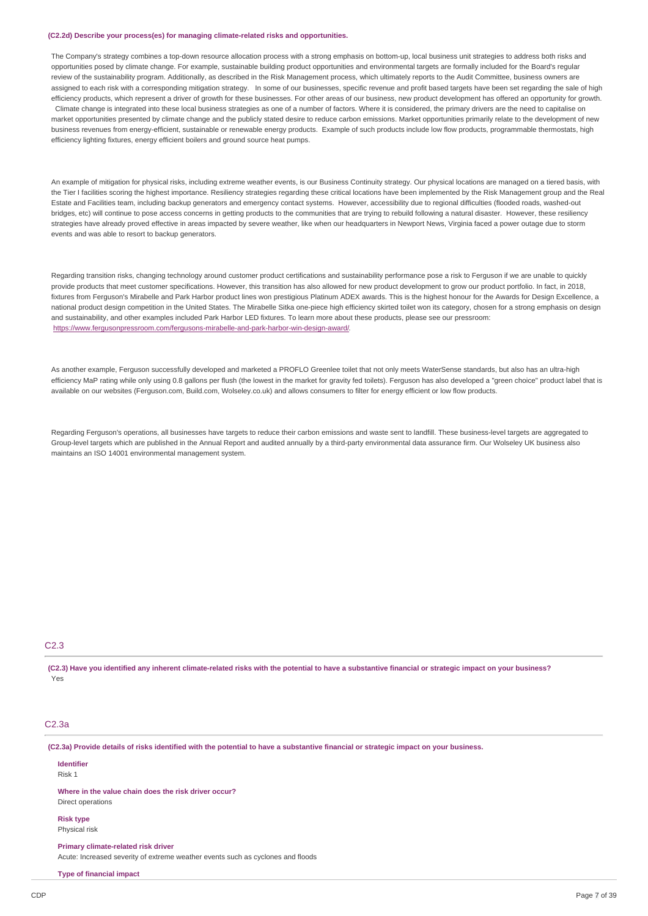#### **(C2.2d) Describe your process(es) for managing climate-related risks and opportunities.**

The Company's strategy combines a top-down resource allocation process with a strong emphasis on bottom-up, local business unit strategies to address both risks and opportunities posed by climate change. For example, sustainable building product opportunities and environmental targets are formally included for the Board's regular review of the sustainability program. Additionally, as described in the Risk Management process, which ultimately reports to the Audit Committee, business owners are assigned to each risk with a corresponding mitigation strategy. In some of our businesses, specific revenue and profit based targets have been set regarding the sale of high efficiency products, which represent a driver of growth for these businesses. For other areas of our business, new product development has offered an opportunity for growth. Climate change is integrated into these local business strategies as one of a number of factors. Where it is considered, the primary drivers are the need to capitalise on market opportunities presented by climate change and the publicly stated desire to reduce carbon emissions. Market opportunities primarily relate to the development of new business revenues from energy-efficient, sustainable or renewable energy products. Example of such products include low flow products, programmable thermostats, high efficiency lighting fixtures, energy efficient boilers and ground source heat pumps.

An example of mitigation for physical risks, including extreme weather events, is our Business Continuity strategy. Our physical locations are managed on a tiered basis, with the Tier I facilities scoring the highest importance. Resiliency strategies regarding these critical locations have been implemented by the Risk Management group and the Real Estate and Facilities team, including backup generators and emergency contact systems. However, accessibility due to regional difficulties (flooded roads, washed-out bridges, etc) will continue to pose access concerns in getting products to the communities that are trying to rebuild following a natural disaster. However, these resiliency strategies have already proved effective in areas impacted by severe weather, like when our headquarters in Newport News, Virginia faced a power outage due to storm events and was able to resort to backup generators.

Regarding transition risks, changing technology around customer product certifications and sustainability performance pose a risk to Ferguson if we are unable to quickly provide products that meet customer specifications. However, this transition has also allowed for new product development to grow our product portfolio. In fact, in 2018, fixtures from Ferguson's Mirabelle and Park Harbor product lines won prestigious Platinum ADEX awards. This is the highest honour for the Awards for Design Excellence, a national product design competition in the United States. The Mirabelle Sitka one-piece high efficiency skirted toilet won its category, chosen for a strong emphasis on design and sustainability, and other examples included Park Harbor LED fixtures. To learn more about these products, please see our pressroom: <https://www.fergusonpressroom.com/fergusons-mirabelle-and-park-harbor-win-design-award/>.

As another example, Ferguson successfully developed and marketed a PROFLO Greenlee toilet that not only meets WaterSense standards, but also has an ultra-high efficiency MaP rating while only using 0.8 gallons per flush (the lowest in the market for gravity fed toilets). Ferguson has also developed a "green choice" product label that is available on our websites (Ferguson.com, Build.com, Wolseley.co.uk) and allows consumers to filter for energy efficient or low flow products.

Regarding Ferguson's operations, all businesses have targets to reduce their carbon emissions and waste sent to landfill. These business-level targets are aggregated to Group-level targets which are published in the Annual Report and audited annually by a third-party environmental data assurance firm. Our Wolseley UK business also maintains an ISO 14001 environmental management system.

### C2.3

(C2.3) Have you identified any inherent climate-related risks with the potential to have a substantive financial or strategic impact on your business? Yes

## C2.3a

(C2.3a) Provide details of risks identified with the potential to have a substantive financial or strategic impact on your business.

### **Identifier** Risk 1

**Where in the value chain does the risk driver occur?** Direct operations

**Risk type**

Physical risk

**Primary climate-related risk driver**

Acute: Increased severity of extreme weather events such as cyclones and floods

**Type of financial impact**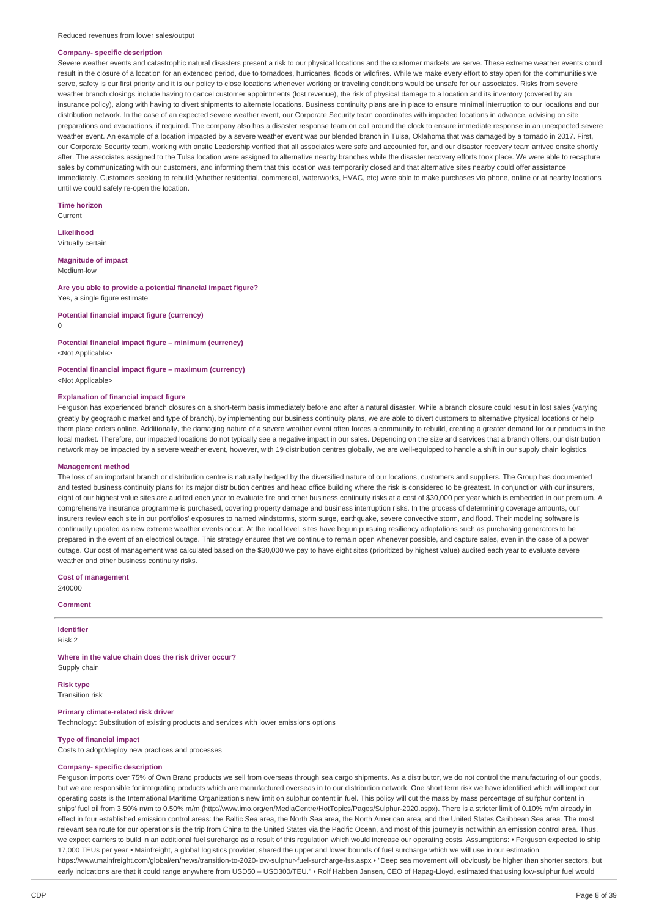#### **Company- specific description**

Severe weather events and catastrophic natural disasters present a risk to our physical locations and the customer markets we serve. These extreme weather events could result in the closure of a location for an extended period, due to tornadoes, hurricanes, floods or wildfires. While we make every effort to stay open for the communities we serve, safety is our first priority and it is our policy to close locations whenever working or traveling conditions would be unsafe for our associates. Risks from severe weather branch closings include having to cancel customer appointments (lost revenue), the risk of physical damage to a location and its inventory (covered by an insurance policy), along with having to divert shipments to alternate locations. Business continuity plans are in place to ensure minimal interruption to our locations and our distribution network. In the case of an expected severe weather event, our Corporate Security team coordinates with impacted locations in advance, advising on site preparations and evacuations, if required. The company also has a disaster response team on call around the clock to ensure immediate response in an unexpected severe weather event. An example of a location impacted by a severe weather event was our blended branch in Tulsa, Oklahoma that was damaged by a tornado in 2017. First, our Corporate Security team, working with onsite Leadership verified that all associates were safe and accounted for, and our disaster recovery team arrived onsite shortly after. The associates assigned to the Tulsa location were assigned to alternative nearby branches while the disaster recovery efforts took place. We were able to recapture sales by communicating with our customers, and informing them that this location was temporarily closed and that alternative sites nearby could offer assistance immediately. Customers seeking to rebuild (whether residential, commercial, waterworks, HVAC, etc) were able to make purchases via phone, online or at nearby locations until we could safely re-open the location.

#### **Time horizon**

Current

**Likelihood** Virtually certain

#### **Magnitude of impact**

Medium-low

#### **Are you able to provide a potential financial impact figure?** Yes, a single figure estimate

**Potential financial impact figure (currency)**  $\Omega$ 

**Potential financial impact figure – minimum (currency)**

<Not Applicable>

#### **Potential financial impact figure – maximum (currency)** <Not Applicable>

#### **Explanation of financial impact figure**

Ferguson has experienced branch closures on a short-term basis immediately before and after a natural disaster. While a branch closure could result in lost sales (varying greatly by geographic market and type of branch), by implementing our business continuity plans, we are able to divert customers to alternative physical locations or help them place orders online. Additionally, the damaging nature of a severe weather event often forces a community to rebuild, creating a greater demand for our products in the local market. Therefore, our impacted locations do not typically see a negative impact in our sales. Depending on the size and services that a branch offers, our distribution network may be impacted by a severe weather event, however, with 19 distribution centres globally, we are well-equipped to handle a shift in our supply chain logistics.

#### **Management method**

The loss of an important branch or distribution centre is naturally hedged by the diversified nature of our locations, customers and suppliers. The Group has documented and tested business continuity plans for its major distribution centres and head office building where the risk is considered to be greatest. In conjunction with our insurers, eight of our highest value sites are audited each year to evaluate fire and other business continuity risks at a cost of \$30,000 per year which is embedded in our premium. A comprehensive insurance programme is purchased, covering property damage and business interruption risks. In the process of determining coverage amounts, our insurers review each site in our portfolios' exposures to named windstorms, storm surge, earthquake, severe convective storm, and flood. Their modeling software is continually updated as new extreme weather events occur. At the local level, sites have begun pursuing resiliency adaptations such as purchasing generators to be prepared in the event of an electrical outage. This strategy ensures that we continue to remain open whenever possible, and capture sales, even in the case of a power outage. Our cost of management was calculated based on the \$30,000 we pay to have eight sites (prioritized by highest value) audited each year to evaluate severe weather and other business continuity risks.

**Cost of management**

240000 **Comment**

**Identifier** Risk 2

**Where in the value chain does the risk driver occur?** Supply chain

**Risk type** Transition risk

## **Primary climate-related risk driver**

Technology: Substitution of existing products and services with lower emissions options

## **Type of financial impact**

Costs to adopt/deploy new practices and processes

## **Company- specific description**

Ferguson imports over 75% of Own Brand products we sell from overseas through sea cargo shipments. As a distributor, we do not control the manufacturing of our goods, but we are responsible for integrating products which are manufactured overseas in to our distribution network. One short term risk we have identified which will impact our operating costs is the International Maritime Organization's new limit on sulphur content in fuel. This policy will cut the mass by mass percentage of sulfphur content in ships' fuel oil from 3.50% m/m to 0.50% m/m (http://www.imo.org/en/MediaCentre/HotTopics/Pages/Sulphur-2020.aspx). There is a stricter limit of 0.10% m/m already in effect in four established emission control areas: the Baltic Sea area, the North Sea area, the North American area, and the United States Caribbean Sea area. The most relevant sea route for our operations is the trip from China to the United States via the Pacific Ocean, and most of this journey is not within an emission control area. Thus, we expect carriers to build in an additional fuel surcharge as a result of this regulation which would increase our operating costs. Assumptions: • Ferguson expected to ship 17,000 TEUs per year • Mainfreight, a global logistics provider, shared the upper and lower bounds of fuel surcharge which we will use in our estimation. https://www.mainfreight.com/global/en/news/transition-to-2020-low-sulphur-fuel-surcharge-lss.aspx • "Deep sea movement will obviously be higher than shorter sectors, but early indications are that it could range anywhere from USD50 – USD300/TEU." • Rolf Habben Jansen, CEO of Hapag-Lloyd, estimated that using low-sulphur fuel would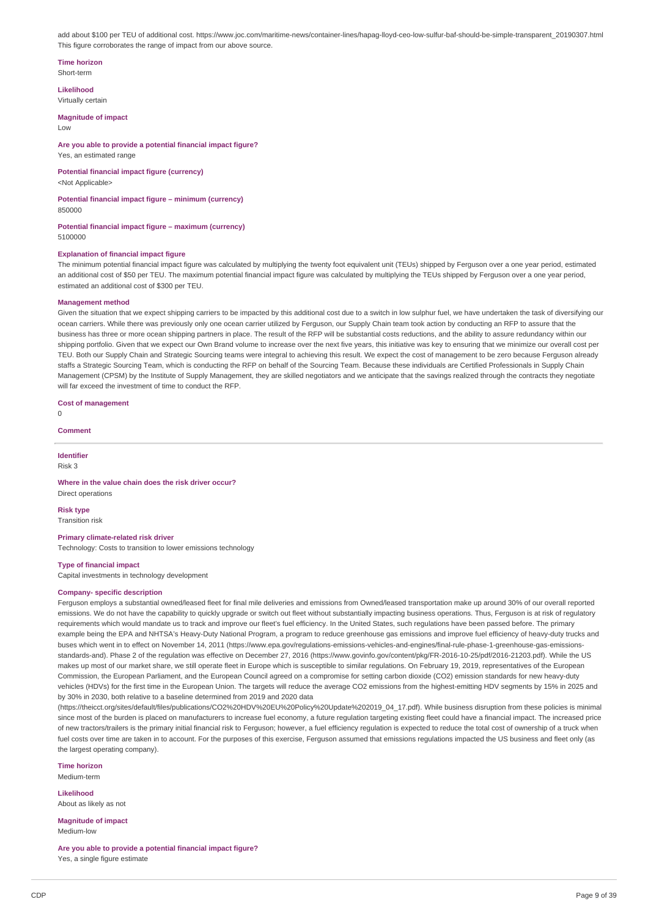add about \$100 per TEU of additional cost. https://www.joc.com/maritime-news/container-lines/hapag-lloyd-ceo-low-sulfur-baf-should-be-simple-transparent\_20190307.html This figure corroborates the range of impact from our above source.

#### **Time horizon** Short-term

**Likelihood**

Virtually certain

**Magnitude of impact**

Low

**Are you able to provide a potential financial impact figure?** Yes, an estimated range

**Potential financial impact figure (currency)**

<Not Applicable>

**Potential financial impact figure – minimum (currency)** 850000

**Potential financial impact figure – maximum (currency)** 5100000

## **Explanation of financial impact figure**

The minimum potential financial impact figure was calculated by multiplying the twenty foot equivalent unit (TEUs) shipped by Ferguson over a one year period, estimated an additional cost of \$50 per TEU. The maximum potential financial impact figure was calculated by multiplying the TEUs shipped by Ferguson over a one year period, estimated an additional cost of \$300 per TEU.

## **Management method**

Given the situation that we expect shipping carriers to be impacted by this additional cost due to a switch in low sulphur fuel, we have undertaken the task of diversifying our ocean carriers. While there was previously only one ocean carrier utilized by Ferguson, our Supply Chain team took action by conducting an RFP to assure that the business has three or more ocean shipping partners in place. The result of the RFP will be substantial costs reductions, and the ability to assure redundancy within our shipping portfolio. Given that we expect our Own Brand volume to increase over the next five years, this initiative was key to ensuring that we minimize our overall cost per TEU. Both our Supply Chain and Strategic Sourcing teams were integral to achieving this result. We expect the cost of management to be zero because Ferguson already staffs a Strategic Sourcing Team, which is conducting the RFP on behalf of the Sourcing Team. Because these individuals are Certified Professionals in Supply Chain Management (CPSM) by the Institute of Supply Management, they are skilled negotiators and we anticipate that the savings realized through the contracts they negotiate will far exceed the investment of time to conduct the RFP.

**Cost of management**

 $\Omega$ 

**Comment**

**Identifier** Risk 3

**Where in the value chain does the risk driver occur?** Direct operations

**Risk type** Transition risk

### **Primary climate-related risk driver**

Technology: Costs to transition to lower emissions technology

## **Type of financial impact**

Capital investments in technology development

### **Company- specific description**

Ferguson employs a substantial owned/leased fleet for final mile deliveries and emissions from Owned/leased transportation make up around 30% of our overall reported emissions. We do not have the capability to quickly upgrade or switch out fleet without substantially impacting business operations. Thus, Ferguson is at risk of regulatory requirements which would mandate us to track and improve our fleet's fuel efficiency. In the United States, such regulations have been passed before. The primary example being the EPA and NHTSA's Heavy-Duty National Program, a program to reduce greenhouse gas emissions and improve fuel efficiency of heavy-duty trucks and buses which went in to effect on November 14, 2011 (https://www.epa.gov/regulations-emissions-vehicles-and-engines/final-rule-phase-1-greenhouse-gas-emissionsstandards-and). Phase 2 of the regulation was effective on December 27, 2016 (https://www.govinfo.gov/content/pkg/FR-2016-10-25/pdf/2016-21203.pdf). While the US makes up most of our market share, we still operate fleet in Europe which is susceptible to similar regulations. On February 19, 2019, representatives of the European Commission, the European Parliament, and the European Council agreed on a compromise for setting carbon dioxide (CO2) emission standards for new heavy-duty vehicles (HDVs) for the first time in the European Union. The targets will reduce the average CO2 emissions from the highest-emitting HDV segments by 15% in 2025 and by 30% in 2030, both relative to a baseline determined from 2019 and 2020 data

(https://theicct.org/sites/default/files/publications/CO2%20HDV%20EU%20Policy%20Update%202019\_04\_17.pdf). While business disruption from these policies is minimal since most of the burden is placed on manufacturers to increase fuel economy, a future regulation targeting existing fleet could have a financial impact. The increased price of new tractors/trailers is the primary initial financial risk to Ferguson; however, a fuel efficiency regulation is expected to reduce the total cost of ownership of a truck when fuel costs over time are taken in to account. For the purposes of this exercise, Ferguson assumed that emissions regulations impacted the US business and fleet only (as the largest operating company).

**Time horizon** Medium-term

**Likelihood** About as likely as not

**Magnitude of impact** Medium-low

**Are you able to provide a potential financial impact figure?** Yes, a single figure estimate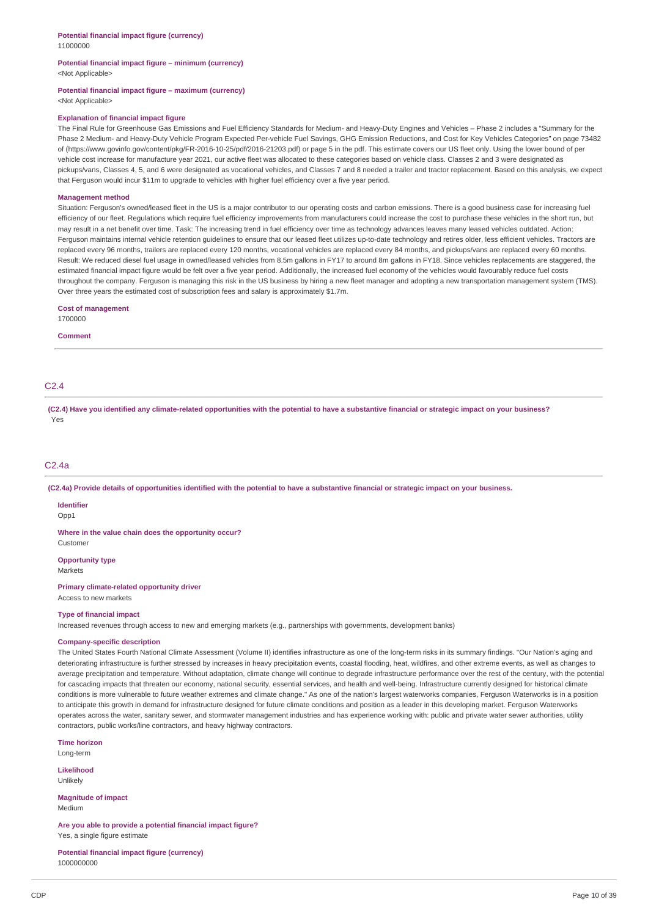#### **Potential financial impact figure – minimum (currency)** <Not Applicable>

#### **Potential financial impact figure – maximum (currency)**

<Not Applicable>

#### **Explanation of financial impact figure**

The Final Rule for Greenhouse Gas Emissions and Fuel Efficiency Standards for Medium- and Heavy-Duty Engines and Vehicles – Phase 2 includes a "Summary for the Phase 2 Medium- and Heavy-Duty Vehicle Program Expected Per-vehicle Fuel Savings, GHG Emission Reductions, and Cost for Key Vehicles Categories" on page 73482 of (https://www.govinfo.gov/content/pkg/FR-2016-10-25/pdf/2016-21203.pdf) or page 5 in the pdf. This estimate covers our US fleet only. Using the lower bound of per vehicle cost increase for manufacture year 2021, our active fleet was allocated to these categories based on vehicle class. Classes 2 and 3 were designated as pickups/vans, Classes 4, 5, and 6 were designated as vocational vehicles, and Classes 7 and 8 needed a trailer and tractor replacement. Based on this analysis, we expect that Ferguson would incur \$11m to upgrade to vehicles with higher fuel efficiency over a five year period.

#### **Management method**

Situation: Ferguson's owned/leased fleet in the US is a major contributor to our operating costs and carbon emissions. There is a good business case for increasing fuel efficiency of our fleet. Regulations which require fuel efficiency improvements from manufacturers could increase the cost to purchase these vehicles in the short run, but may result in a net benefit over time. Task: The increasing trend in fuel efficiency over time as technology advances leaves many leased vehicles outdated. Action: Ferguson maintains internal vehicle retention guidelines to ensure that our leased fleet utilizes up-to-date technology and retires older, less efficient vehicles. Tractors are replaced every 96 months, trailers are replaced every 120 months, vocational vehicles are replaced every 84 months, and pickups/vans are replaced every 60 months. Result: We reduced diesel fuel usage in owned/leased vehicles from 8.5m gallons in FY17 to around 8m gallons in FY18. Since vehicles replacements are staggered, the estimated financial impact figure would be felt over a five year period. Additionally, the increased fuel economy of the vehicles would favourably reduce fuel costs throughout the company. Ferguson is managing this risk in the US business by hiring a new fleet manager and adopting a new transportation management system (TMS). Over three years the estimated cost of subscription fees and salary is approximately \$1.7m.

### **Cost of management**

1700000

## **Comment**

## C2.4

(C2.4) Have you identified any climate-related opportunities with the potential to have a substantive financial or strategic impact on your business? Yes

## C2.4a

(C2.4a) Provide details of opportunities identified with the potential to have a substantive financial or strategic impact on your business.

### **Identifier**

Opp1

**Where in the value chain does the opportunity occur?** Custome

## **Opportunity type**

Markets

## **Primary climate-related opportunity driver**

Access to new markets

## **Type of financial impact**

Increased revenues through access to new and emerging markets (e.g., partnerships with governments, development banks)

## **Company-specific description**

The United States Fourth National Climate Assessment (Volume II) identifies infrastructure as one of the long-term risks in its summary findings. "Our Nation's aging and deteriorating infrastructure is further stressed by increases in heavy precipitation events, coastal flooding, heat, wildfires, and other extreme events, as well as changes to average precipitation and temperature. Without adaptation, climate change will continue to degrade infrastructure performance over the rest of the century, with the potential for cascading impacts that threaten our economy, national security, essential services, and health and well-being. Infrastructure currently designed for historical climate conditions is more vulnerable to future weather extremes and climate change." As one of the nation's largest waterworks companies, Ferguson Waterworks is in a position to anticipate this growth in demand for infrastructure designed for future climate conditions and position as a leader in this developing market. Ferguson Waterworks operates across the water, sanitary sewer, and stormwater management industries and has experience working with: public and private water sewer authorities, utility contractors, public works/line contractors, and heavy highway contractors.

**Time horizon** Long-term

**Likelihood** Unlikely

**Magnitude of impact** Medium

**Are you able to provide a potential financial impact figure?** Yes, a single figure estimate

**Potential financial impact figure (currency)** 1000000000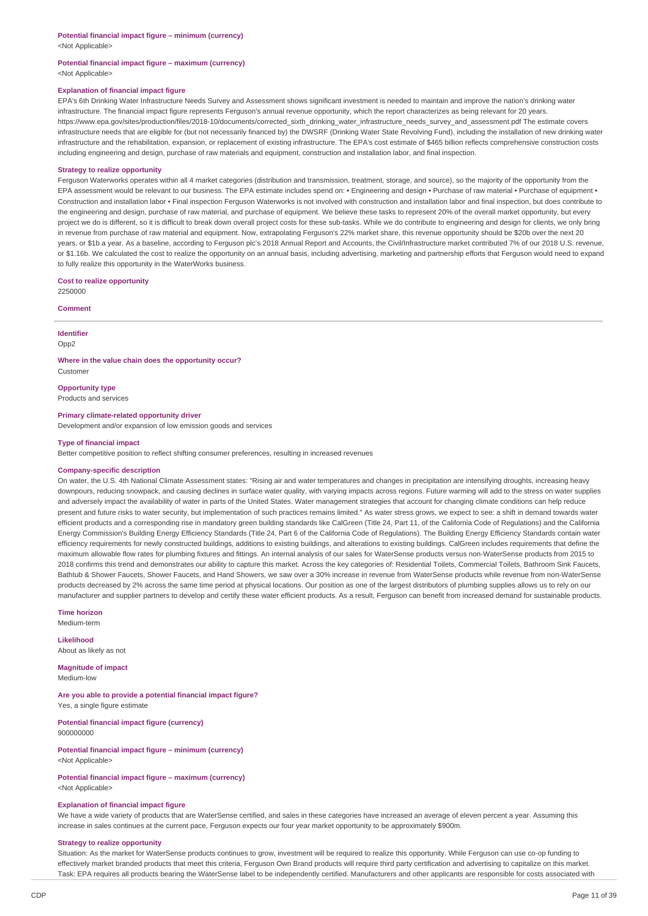#### **Potential financial impact figure – maximum (currency)** <Not Applicable>

#### **Explanation of financial impact figure**

EPA's 6th Drinking Water Infrastructure Needs Survey and Assessment shows significant investment is needed to maintain and improve the nation's drinking water infrastructure. The financial impact figure represents Ferguson's annual revenue opportunity, which the report characterizes as being relevant for 20 years. https://www.epa.gov/sites/production/files/2018-10/documents/corrected\_sixth\_drinking\_water\_infrastructure\_needs\_survey\_and\_assessment.pdf The estimate covers infrastructure needs that are eligible for (but not necessarily financed by) the DWSRF (Drinking Water State Revolving Fund), including the installation of new drinking water infrastructure and the rehabilitation, expansion, or replacement of existing infrastructure. The EPA's cost estimate of \$465 billion reflects comprehensive construction costs including engineering and design, purchase of raw materials and equipment, construction and installation labor, and final inspection.

#### **Strategy to realize opportunity**

Ferguson Waterworks operates within all 4 market categories (distribution and transmission, treatment, storage, and source), so the majority of the opportunity from the EPA assessment would be relevant to our business. The EPA estimate includes spend on: • Engineering and design • Purchase of raw material • Purchase of equipment • Construction and installation labor • Final inspection Ferguson Waterworks is not involved with construction and installation labor and final inspection, but does contribute to the engineering and design, purchase of raw material, and purchase of equipment. We believe these tasks to represent 20% of the overall market opportunity, but every project we do is different, so it is difficult to break down overall project costs for these sub-tasks. While we do contribute to engineering and design for clients, we only bring in revenue from purchase of raw material and equipment. Now, extrapolating Ferguson's 22% market share, this revenue opportunity should be \$20b over the next 20 years, or \$1b a year. As a baseline, according to Ferguson plc's 2018 Annual Report and Accounts, the Civil/Infrastructure market contributed 7% of our 2018 U.S. revenue, or \$1.16b. We calculated the cost to realize the opportunity on an annual basis, including advertising, marketing and partnership efforts that Ferguson would need to expand to fully realize this opportunity in the WaterWorks business.

#### **Cost to realize opportunity**

2250000

#### **Comment**

**Identifier**

Opp2

**Where in the value chain does the opportunity occur?** Customer

**Opportunity type** Products and services

#### **Primary climate-related opportunity driver**

Development and/or expansion of low emission goods and services

#### **Type of financial impact**

Better competitive position to reflect shifting consumer preferences, resulting in increased revenues

### **Company-specific description**

On water, the U.S. 4th National Climate Assessment states: "Rising air and water temperatures and changes in precipitation are intensifying droughts, increasing heavy downpours, reducing snowpack, and causing declines in surface water quality, with varying impacts across regions. Future warming will add to the stress on water supplies and adversely impact the availability of water in parts of the United States. Water management strategies that account for changing climate conditions can help reduce present and future risks to water security, but implementation of such practices remains limited." As water stress grows, we expect to see: a shift in demand towards water efficient products and a corresponding rise in mandatory green building standards like CalGreen (Title 24, Part 11, of the California Code of Regulations) and the California Energy Commission's Building Energy Efficiency Standards (Title 24, Part 6 of the California Code of Regulations). The Building Energy Efficiency Standards contain water efficiency requirements for newly constructed buildings, additions to existing buildings, and alterations to existing buildings. CalGreen includes requirements that define the maximum allowable flow rates for plumbing fixtures and fittings. An internal analysis of our sales for WaterSense products versus non-WaterSense products from 2015 to 2018 confirms this trend and demonstrates our ability to capture this market. Across the key categories of: Residential Toilets, Commercial Toilets, Bathroom Sink Faucets, Bathtub & Shower Faucets, Shower Faucets, and Hand Showers, we saw over a 30% increase in revenue from WaterSense products while revenue from non-WaterSense products decreased by 2% across the same time period at physical locations. Our position as one of the largest distributors of plumbing supplies allows us to rely on our manufacturer and supplier partners to develop and certify these water efficient products. As a result, Ferguson can benefit from increased demand for sustainable products.

## **Time horizon**

Medium-term

**Likelihood** About as likely as not

**Magnitude of impact** Medium-low

**Are you able to provide a potential financial impact figure?** Yes, a single figure estimate

**Potential financial impact figure (currency)** 900000000

**Potential financial impact figure – minimum (currency)** <Not Applicable>

**Potential financial impact figure – maximum (currency)** <Not Applicable>

#### **Explanation of financial impact figure**

We have a wide variety of products that are WaterSense certified, and sales in these categories have increased an average of eleven percent a year. Assuming this increase in sales continues at the current pace, Ferguson expects our four year market opportunity to be approximately \$900m.

#### **Strategy to realize opportunity**

Situation: As the market for WaterSense products continues to grow, investment will be required to realize this opportunity. While Ferguson can use co-op funding to effectively market branded products that meet this criteria, Ferguson Own Brand products will require third party certification and advertising to capitalize on this market. Task: EPA requires all products bearing the WaterSense label to be independently certified. Manufacturers and other applicants are responsible for costs associated with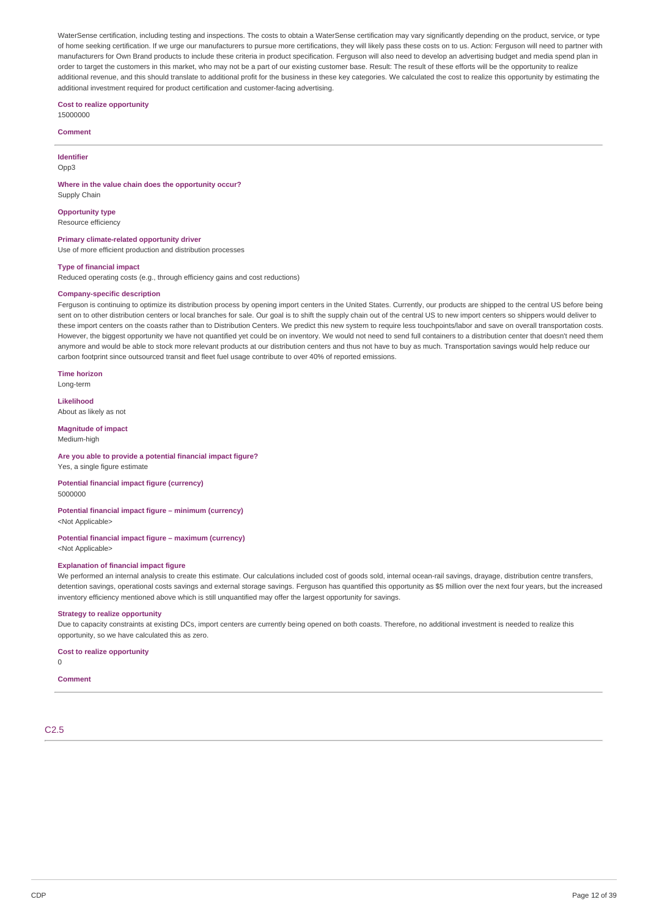WaterSense certification, including testing and inspections. The costs to obtain a WaterSense certification may vary significantly depending on the product, service, or type of home seeking certification. If we urge our manufacturers to pursue more certifications, they will likely pass these costs on to us. Action: Ferguson will need to partner with manufacturers for Own Brand products to include these criteria in product specification. Ferguson will also need to develop an advertising budget and media spend plan in order to target the customers in this market, who may not be a part of our existing customer base. Result: The result of these efforts will be the opportunity to realize additional revenue, and this should translate to additional profit for the business in these key categories. We calculated the cost to realize this opportunity by estimating the additional investment required for product certification and customer-facing advertising.

**Cost to realize opportunity**

## 15000000

## **Comment**

**Identifier** Opp3

**Where in the value chain does the opportunity occur?** Supply Chain

#### **Opportunity type** Resource efficiency

## **Primary climate-related opportunity driver**

Use of more efficient production and distribution processes

### **Type of financial impact**

Reduced operating costs (e.g., through efficiency gains and cost reductions)

## **Company-specific description**

Ferguson is continuing to optimize its distribution process by opening import centers in the United States. Currently, our products are shipped to the central US before being sent on to other distribution centers or local branches for sale. Our goal is to shift the supply chain out of the central US to new import centers so shippers would deliver to these import centers on the coasts rather than to Distribution Centers. We predict this new system to require less touchpoints/labor and save on overall transportation costs. However, the biggest opportunity we have not quantified yet could be on inventory. We would not need to send full containers to a distribution center that doesn't need them anymore and would be able to stock more relevant products at our distribution centers and thus not have to buy as much. Transportation savings would help reduce our carbon footprint since outsourced transit and fleet fuel usage contribute to over 40% of reported emissions.

**Time horizon**

Long-term

## **Likelihood**

About as likely as not

## **Magnitude of impact**

Medium-high

**Are you able to provide a potential financial impact figure?**

Yes, a single figure estimate

## **Potential financial impact figure (currency)** 5000000

## **Potential financial impact figure – minimum (currency)**

<Not Applicable>

#### **Potential financial impact figure – maximum (currency)** <Not Applicable>

#### **Explanation of financial impact figure**

We performed an internal analysis to create this estimate. Our calculations included cost of goods sold, internal ocean-rail savings, drayage, distribution centre transfers, detention savings, operational costs savings and external storage savings. Ferguson has quantified this opportunity as \$5 million over the next four years, but the increased inventory efficiency mentioned above which is still unquantified may offer the largest opportunity for savings.

### **Strategy to realize opportunity**

Due to capacity constraints at existing DCs, import centers are currently being opened on both coasts. Therefore, no additional investment is needed to realize this opportunity, so we have calculated this as zero.

### **Cost to realize opportunity**

 $\Omega$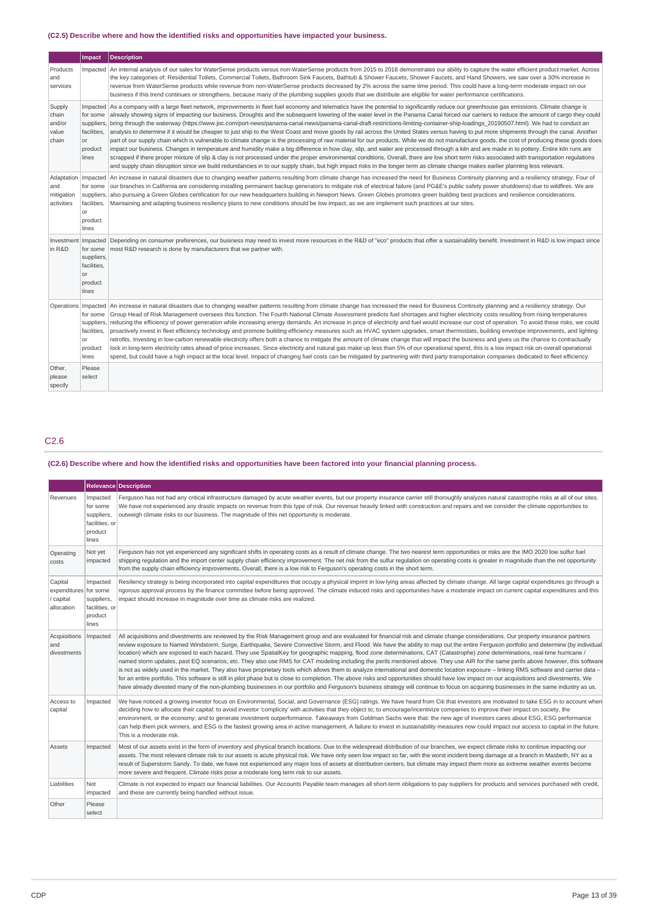## **(C2.5) Describe where and how the identified risks and opportunities have impacted your business.**

|                                               | Impact                                                                      | <b>Description</b>                                                                                                                                                                                                                                                                                                                                                                                                                                                                                                                                                                                                                                                                                                                                                                                                                                                                                                                                                                                                                                                                                                                                                                                                                                                                                                                                                                                                                                                                                                                                                |
|-----------------------------------------------|-----------------------------------------------------------------------------|-------------------------------------------------------------------------------------------------------------------------------------------------------------------------------------------------------------------------------------------------------------------------------------------------------------------------------------------------------------------------------------------------------------------------------------------------------------------------------------------------------------------------------------------------------------------------------------------------------------------------------------------------------------------------------------------------------------------------------------------------------------------------------------------------------------------------------------------------------------------------------------------------------------------------------------------------------------------------------------------------------------------------------------------------------------------------------------------------------------------------------------------------------------------------------------------------------------------------------------------------------------------------------------------------------------------------------------------------------------------------------------------------------------------------------------------------------------------------------------------------------------------------------------------------------------------|
| Products<br>and<br>services                   | Impacted                                                                    | An internal analysis of our sales for WaterSense products versus non-WaterSense products from 2015 to 2018 demonstrates our ability to capture the water efficient product market. Across<br>the key categories of: Residential Toilets, Commercial Toilets, Bathroom Sink Faucets, Bathtub & Shower Faucets, Shower Faucets, and Hand Showers, we saw over a 30% increase in<br>revenue from WaterSense products while revenue from non-WaterSense products decreased by 2% across the same time period. This could have a long-term moderate impact on our<br>business if this trend continues or strengthens, because many of the plumbing supplies goods that we distribute are eligible for water performance certifications.                                                                                                                                                                                                                                                                                                                                                                                                                                                                                                                                                                                                                                                                                                                                                                                                                                |
| Supply<br>chain<br>and/or<br>value<br>chain   | for some<br>suppliers,<br>facilities.<br>or<br>product<br>lines             | Impacted As a company with a large fleet network, improvements in fleet fuel economy and telematics have the potential to significantly reduce our greenhouse gas emissions. Climate change is<br>already showing signs of impacting our business. Droughts and the subsequent lowering of the water level in the Panama Canal forced our carriers to reduce the amount of cargo they could<br>bring through the waterway (https://www.joc.com/port-news/panama-canal-news/panama-canal-draft-restrictions-limiting-container-ship-loadings 20190507.html). We had to conduct an<br>analysis to determine if it would be cheaper to just ship to the West Coast and move goods by rail across the United States versus having to put more shipments through the canal. Another<br>part of our supply chain which is vulnerable to climate change is the processing of raw material for our products. While we do not manufacture goods, the cost of producing these goods does<br>impact our business. Changes in temperature and humidity make a big difference in how clay, slip, and water are processed through a kiln and are made in to pottery. Entire kiln runs are<br>scrapped if there proper mixture of slip & clay is not processed under the proper environmental conditions. Overall, there are low short term risks associated with transportation regulations<br>and supply chain disruption since we build redundancies in to our supply chain, but high impact risks in the longer term as climate change makes earlier planning less relevant. |
| Adaptation<br>and<br>mitigation<br>activities | for some<br>facilities,<br>or<br>product<br>lines                           | Impacted An increase in natural disasters due to changing weather patterns resulting from climate change has increased the need for Business Continuity planning and a resiliency strategy. Four of<br>our branches in California are considering installing permanent backup generators to mitigate risk of electrical failure (and PG&E's public safety power shutdowns) due to wildfires. We are<br>suppliers, also pursuing a Green Globes certification for our new headquarters building in Newport News. Green Globes promotes green building best practices and resilience considerations.<br>Maintaining and adapting business resiliency plans to new conditions should be low impact, as we are implement such practices at our sites.                                                                                                                                                                                                                                                                                                                                                                                                                                                                                                                                                                                                                                                                                                                                                                                                                 |
| Investment<br>in R&D                          | Impacted<br>for some<br>suppliers.<br>facilities,<br>or<br>product<br>lines | Depending on consumer preferences, our business may need to invest more resources in the R&D of "eco" products that offer a sustainability benefit. Investment in R&D is low impact since<br>most R&D research is done by manufacturers that we partner with.                                                                                                                                                                                                                                                                                                                                                                                                                                                                                                                                                                                                                                                                                                                                                                                                                                                                                                                                                                                                                                                                                                                                                                                                                                                                                                     |
| Operations                                    | Impacted<br>for some<br>facilities,<br>or<br>product<br>lines               | An increase in natural disasters due to changing weather patterns resulting from climate change has increased the need for Business Continuity planning and a resiliency strategy. Our<br>Group Head of Risk Management oversees this function. The Fourth National Climate Assessment predicts fuel shortages and higher electricity costs resulting from rising temperatures<br>suppliers, reducing the efficiency of power generation while increasing energy demands. An increase in price of electricity and fuel would increase our cost of operation. To avoid these risks, we could<br>proactively invest in fleet efficiency technology and promote building efficiency measures such as HVAC system upgrades, smart thermostats, building envelope improvements, and lighting<br>retrofits. Investing in low-carbon renewable electricity offers both a chance to mitigate the amount of climate change that will impact the business and gives us the chance to contractually<br>lock in long-term electricity rates ahead of price increases. Since electricity and natural gas make up less than 5% of our operational spend, this is a low impact risk on overall operational<br>spend, but could have a high impact at the local level. Impact of changing fuel costs can be mitigated by partnering with third party transportation companies dedicated to fleet efficiency.                                                                                                                                                                      |
| Other,<br>please<br>specify                   | Please<br>select                                                            |                                                                                                                                                                                                                                                                                                                                                                                                                                                                                                                                                                                                                                                                                                                                                                                                                                                                                                                                                                                                                                                                                                                                                                                                                                                                                                                                                                                                                                                                                                                                                                   |

## C2.6

## (C2.6) Describe where and how the identified risks and opportunities have been factored into your financial planning process.

|                                                             |                                                                          | Relevance Description                                                                                                                                                                                                                                                                                                                                                                                                                                                                                                                                                                                                                                                                                                                                                                                                                                                                                                                                                                                                                                                                                                                                                                                                                                                                                                                      |
|-------------------------------------------------------------|--------------------------------------------------------------------------|--------------------------------------------------------------------------------------------------------------------------------------------------------------------------------------------------------------------------------------------------------------------------------------------------------------------------------------------------------------------------------------------------------------------------------------------------------------------------------------------------------------------------------------------------------------------------------------------------------------------------------------------------------------------------------------------------------------------------------------------------------------------------------------------------------------------------------------------------------------------------------------------------------------------------------------------------------------------------------------------------------------------------------------------------------------------------------------------------------------------------------------------------------------------------------------------------------------------------------------------------------------------------------------------------------------------------------------------|
| Revenues                                                    | Impacted<br>for some<br>suppliers,<br>facilities, or<br>product<br>lines | Ferguson has not had any critical infrastructure damaged by acute weather events, but our property insurance carrier still thoroughly analyzes natural catastrophe risks at all of our sites.<br>We have not experienced any drastic impacts on revenue from this type of risk. Our revenue heavily linked with construction and repairs and we consider the climate opportunities to<br>outweigh climate risks to our business. The magnitude of this net opportunity is moderate.                                                                                                                                                                                                                                                                                                                                                                                                                                                                                                                                                                                                                                                                                                                                                                                                                                                        |
| Operating<br>costs                                          | Not yet<br>impacted                                                      | Ferguson has not yet experienced any significant shifts in operating costs as a result of climate change. The two nearest term opportunities or risks are the IMO 2020 low sulfur fuel<br>shipping regulation and the import center supply chain efficiency improvement. The net risk from the sulfur regulation on operating costs is greater in magnitude than the net opportunity<br>from the supply chain efficiency improvements. Overall, there is a low risk to Ferguson's operating costs in the short term.                                                                                                                                                                                                                                                                                                                                                                                                                                                                                                                                                                                                                                                                                                                                                                                                                       |
| Capital<br>expenditures for some<br>/ capital<br>allocation | Impacted<br>suppliers,<br>facilities, or<br>product<br>lines             | Resiliency strategy is being incorporated into capital expenditures that occupy a physical imprint in low-lying areas affected by climate change. All large capital expenditures go through a<br>rigorous approval process by the finance committee before being approved. The climate induced risks and opportunities have a moderate impact on current capital expenditures and this<br>impact should increase in magnitude over time as climate risks are realized.                                                                                                                                                                                                                                                                                                                                                                                                                                                                                                                                                                                                                                                                                                                                                                                                                                                                     |
| Acquisitions<br>and<br>divestments                          | Impacted                                                                 | All acquisitions and divestments are reviewed by the Risk Management group and are evaluated for financial risk and climate change considerations. Our property insurance partners<br>review exposure to Named Windstorm, Surge, Earthguake, Severe Convective Storm, and Flood. We have the ability to map out the entire Ferguson portfolio and determine (by individual<br>location) which are exposed to each hazard. They use SpatialKey for geographic mapping, flood zone determinations, CAT (Catastrophe) zone determinations, real-time hurricane /<br>named storm updates, past EQ scenarios, etc. They also use RMS for CAT modeling including the perils mentioned above. They use AIR for the same perils above however, this software<br>is not as widely used in the market. They also have proprietary tools which allows them to analyze international and domestic location exposure - linking RMS software and carrier data -<br>for an entire portfolio. This software is still in pilot phase but is close to completion. The above risks and opportunities should have low impact on our acquisitions and divestments. We<br>have already divested many of the non-plumbing businesses in our portfolio and Ferguson's business strategy will continue to focus on acquiring businesses in the same industry as us. |
| Access to<br>capital                                        | Impacted                                                                 | We have noticed a growing investor focus on Environmental, Social, and Governance (ESG) ratings. We have heard from Citi that investors are motivated to take ESG in to account when<br>deciding how to allocate their capital: to avoid investor 'complicity' with activities that they object to; to encourage/incentivize companies to improve their impact on society, the<br>environment, or the economy; and to generate investment outperformance. Takeaways from Goldman Sachs were that: the new age of investors cares about ESG, ESG performance<br>can help them pick winners, and ESG is the fastest growing area in active management. A failure to invest in sustainability measures now could impact our access to capital in the future.<br>This is a moderate risk.                                                                                                                                                                                                                                                                                                                                                                                                                                                                                                                                                      |
| Assets                                                      | Impacted                                                                 | Most of our assets exist in the form of inventory and physical branch locations. Due to the widespread distribution of our branches, we expect climate risks to continue impacting our<br>assets. The most relevant climate risk to our assets is acute physical risk. We have only seen low impact so far, with the worst incident being damage at a branch in Masbeth, NY as a<br>result of Superstorm Sandy. To date, we have not experienced any major loss of assets at distribution centers, but climate may impact them more as extreme weather events become<br>more severe and frequent. Climate risks pose a moderate long term risk to our assets.                                                                                                                                                                                                                                                                                                                                                                                                                                                                                                                                                                                                                                                                              |
| Liabilities                                                 | Not<br>impacted                                                          | Climate is not expected to impact our financial liabilities. Our Accounts Payable team manages all short-term obligations to pay suppliers for products and services purchased with credit,<br>and these are currently being handled without issue.                                                                                                                                                                                                                                                                                                                                                                                                                                                                                                                                                                                                                                                                                                                                                                                                                                                                                                                                                                                                                                                                                        |
| Other                                                       | Please<br>select                                                         |                                                                                                                                                                                                                                                                                                                                                                                                                                                                                                                                                                                                                                                                                                                                                                                                                                                                                                                                                                                                                                                                                                                                                                                                                                                                                                                                            |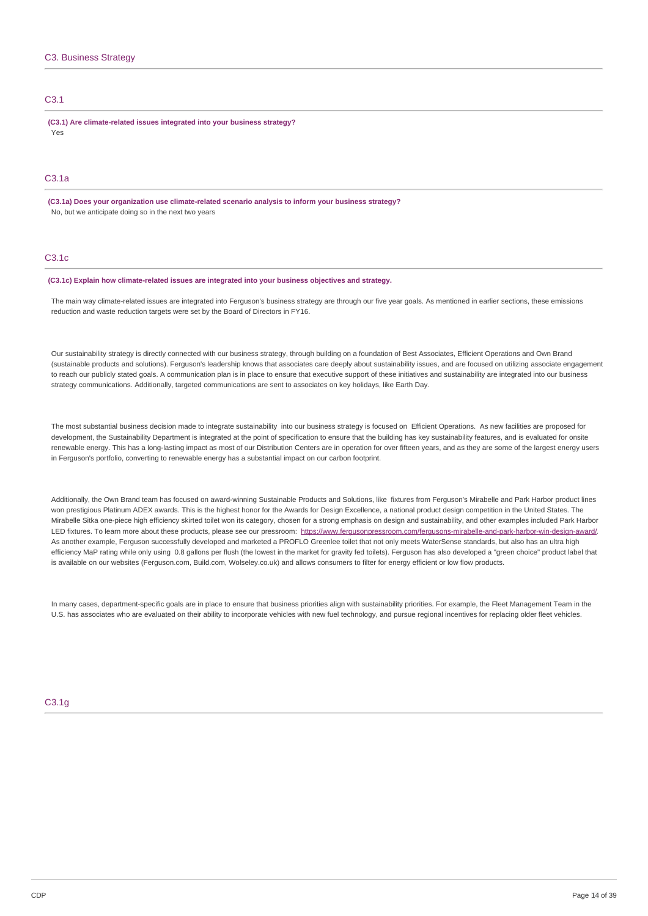## C3.1

**(C3.1) Are climate-related issues integrated into your business strategy?** Yes

## C3.1a

**(C3.1a) Does your organization use climate-related scenario analysis to inform your business strategy?** No, but we anticipate doing so in the next two years

## C3.1c

### **(C3.1c) Explain how climate-related issues are integrated into your business objectives and strategy.**

The main way climate-related issues are integrated into Ferguson's business strategy are through our five year goals. As mentioned in earlier sections, these emissions reduction and waste reduction targets were set by the Board of Directors in FY16.

Our sustainability strategy is directly connected with our business strategy, through building on a foundation of Best Associates, Efficient Operations and Own Brand (sustainable products and solutions). Ferguson's leadership knows that associates care deeply about sustainability issues, and are focused on utilizing associate engagement to reach our publicly stated goals. A communication plan is in place to ensure that executive support of these initiatives and sustainability are integrated into our business strategy communications. Additionally, targeted communications are sent to associates on key holidays, like Earth Day.

The most substantial business decision made to integrate sustainability into our business strategy is focused on Efficient Operations. As new facilities are proposed for development, the Sustainability Department is integrated at the point of specification to ensure that the building has key sustainability features, and is evaluated for onsite renewable energy. This has a long-lasting impact as most of our Distribution Centers are in operation for over fifteen years, and as they are some of the largest energy users in Ferguson's portfolio, converting to renewable energy has a substantial impact on our carbon footprint.

Additionally, the Own Brand team has focused on award-winning Sustainable Products and Solutions, like fixtures from Ferguson's Mirabelle and Park Harbor product lines won prestigious Platinum ADEX awards. This is the highest honor for the Awards for Design Excellence, a national product design competition in the United States. The Mirabelle Sitka one-piece high efficiency skirted toilet won its category, chosen for a strong emphasis on design and sustainability, and other examples included Park Harbor LED fixtures. To learn more about these products, please see our pressroom: <https://www.fergusonpressroom.com/fergusons-mirabelle-and-park-harbor-win-design-award/>. As another example, Ferguson successfully developed and marketed a PROFLO Greenlee toilet that not only meets WaterSense standards, but also has an ultra high efficiency MaP rating while only using 0.8 gallons per flush (the lowest in the market for gravity fed toilets). Ferguson has also developed a "green choice" product label that is available on our websites (Ferguson.com, Build.com, Wolseley.co.uk) and allows consumers to filter for energy efficient or low flow products.

In many cases, department-specific goals are in place to ensure that business priorities align with sustainability priorities. For example, the Fleet Management Team in the U.S. has associates who are evaluated on their ability to incorporate vehicles with new fuel technology, and pursue regional incentives for replacing older fleet vehicles.

## C3.1g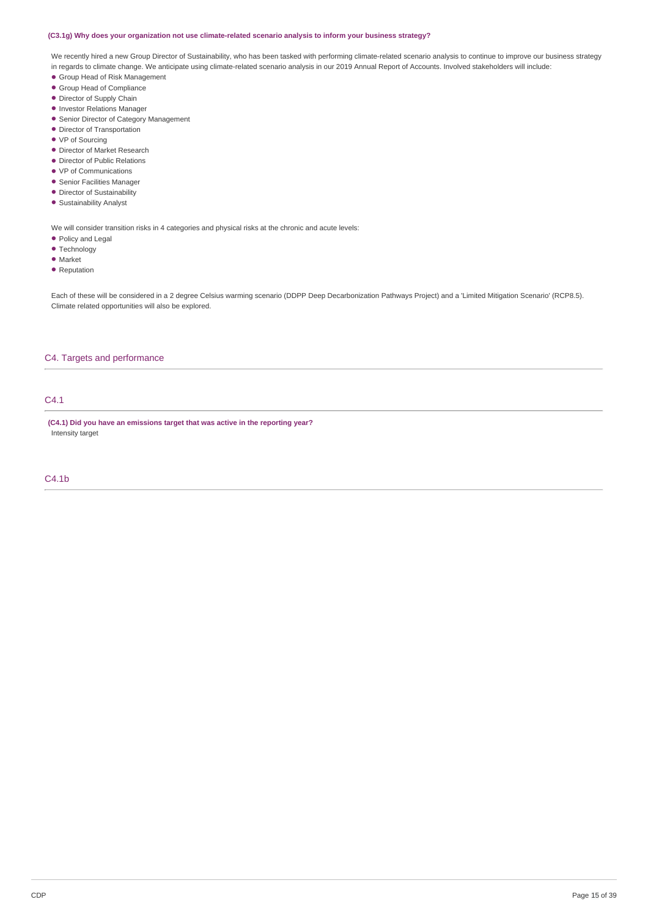## **(C3.1g) Why does your organization not use climate-related scenario analysis to inform your business strategy?**

We recently hired a new Group Director of Sustainability, who has been tasked with performing climate-related scenario analysis to continue to improve our business strategy in regards to climate change. We anticipate using climate-related scenario analysis in our 2019 Annual Report of Accounts. Involved stakeholders will include:

- Group Head of Risk Management •
- Group Head of Compliance
- Director of Supply Chain
- Investor Relations Manager
- Senior Director of Category Management
- Director of Transportation
- VP of Sourcing
- Director of Market Research
- **•** Director of Public Relations
- VP of Communications
- **Senior Facilities Manager**
- Director of Sustainability
- Sustainability Analyst

We will consider transition risks in 4 categories and physical risks at the chronic and acute levels:

- Policy and Legal
- Technology
- Market
- Reputation

Each of these will be considered in a 2 degree Celsius warming scenario (DDPP Deep Decarbonization Pathways Project) and a 'Limited Mitigation Scenario' (RCP8.5). Climate related opportunities will also be explored.

## C4. Targets and performance

## C4.1

**(C4.1) Did you have an emissions target that was active in the reporting year?** Intensity target

#### C4.1b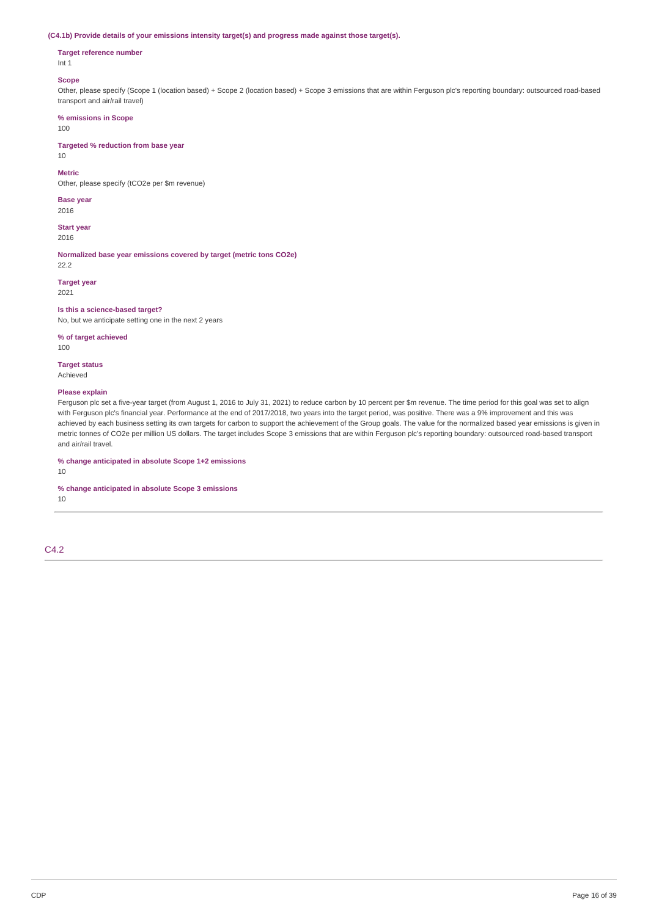#### **(C4.1b) Provide details of your emissions intensity target(s) and progress made against those target(s).**

## **Target reference number**

Int 1

## **Scope**

Other, please specify (Scope 1 (location based) + Scope 2 (location based) + Scope 3 emissions that are within Ferguson plc's reporting boundary: outsourced road-based transport and air/rail travel)

#### **% emissions in Scope**

100

## **Targeted % reduction from base year**

10

#### **Metric**

Other, please specify (tCO2e per \$m revenue)

#### **Base year**

2016

**Start year** 2016

**Normalized base year emissions covered by target (metric tons CO2e)** 22.2

**Target year**

2021

## **Is this a science-based target?**

No, but we anticipate setting one in the next 2 years

## **% of target achieved**

100

**Target status** Achieved

### **Please explain**

Ferguson plc set a five-year target (from August 1, 2016 to July 31, 2021) to reduce carbon by 10 percent per \$m revenue. The time period for this goal was set to align with Ferguson plc's financial year. Performance at the end of 2017/2018, two years into the target period, was positive. There was a 9% improvement and this was achieved by each business setting its own targets for carbon to support the achievement of the Group goals. The value for the normalized based year emissions is given in metric tonnes of CO2e per million US dollars. The target includes Scope 3 emissions that are within Ferguson plc's reporting boundary: outsourced road-based transport and air/rail travel.

## **% change anticipated in absolute Scope 1+2 emissions**

10

### **% change anticipated in absolute Scope 3 emissions**

10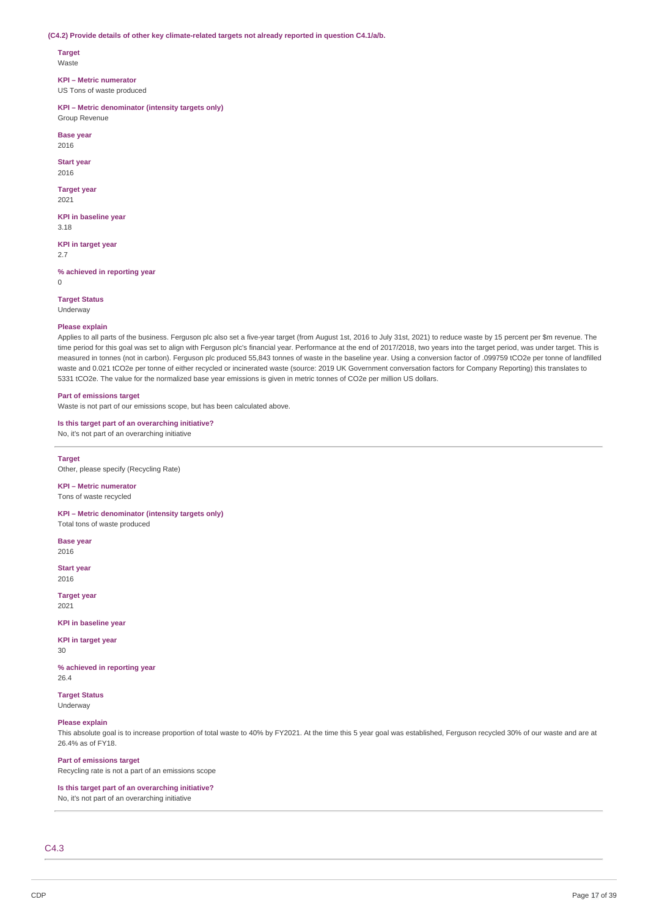#### **(C4.2) Provide details of other key climate-related targets not already reported in question C4.1/a/b.**

**Target**

Waste

**KPI – Metric numerator**

US Tons of waste produced

**KPI – Metric denominator (intensity targets only)** Group Revenue

**Base year**

2016

**Start year** 2016

**Target year** 2021

**KPI in baseline year** 3.18

**KPI in target year** 2.7

**% achieved in reporting year**  $\Omega$ 

**Target Status** Underway

#### **Please explain**

Applies to all parts of the business. Ferguson plc also set a five-year target (from August 1st, 2016 to July 31st, 2021) to reduce waste by 15 percent per \$m revenue. The time period for this goal was set to align with Ferguson plc's financial year. Performance at the end of 2017/2018, two years into the target period, was under target. This is measured in tonnes (not in carbon). Ferguson plc produced 55,843 tonnes of waste in the baseline year. Using a conversion factor of .099759 tCO2e per tonne of landfilled waste and 0.021 tCO2e per tonne of either recycled or incinerated waste (source: 2019 UK Government conversation factors for Company Reporting) this translates to 5331 tCO2e. The value for the normalized base year emissions is given in metric tonnes of CO2e per million US dollars.

#### **Part of emissions target**

Waste is not part of our emissions scope, but has been calculated above.

**Is this target part of an overarching initiative?**

No, it's not part of an overarching initiative

#### **Target**

Other, please specify (Recycling Rate)

**KPI – Metric numerator**

Tons of waste recycled

**KPI – Metric denominator (intensity targets only)** Total tons of waste produced

**Base year** 2016

**Start year** 2016

**Target year** 2021

**KPI in baseline year**

#### **KPI in target year**

30

**% achieved in reporting year** 26.4

# **Target Status**

Underway

## **Please explain**

This absolute goal is to increase proportion of total waste to 40% by FY2021. At the time this 5 year goal was established, Ferguson recycled 30% of our waste and are at 26.4% as of FY18.

**Part of emissions target** Recycling rate is not a part of an emissions scope

#### **Is this target part of an overarching initiative?**

No, it's not part of an overarching initiative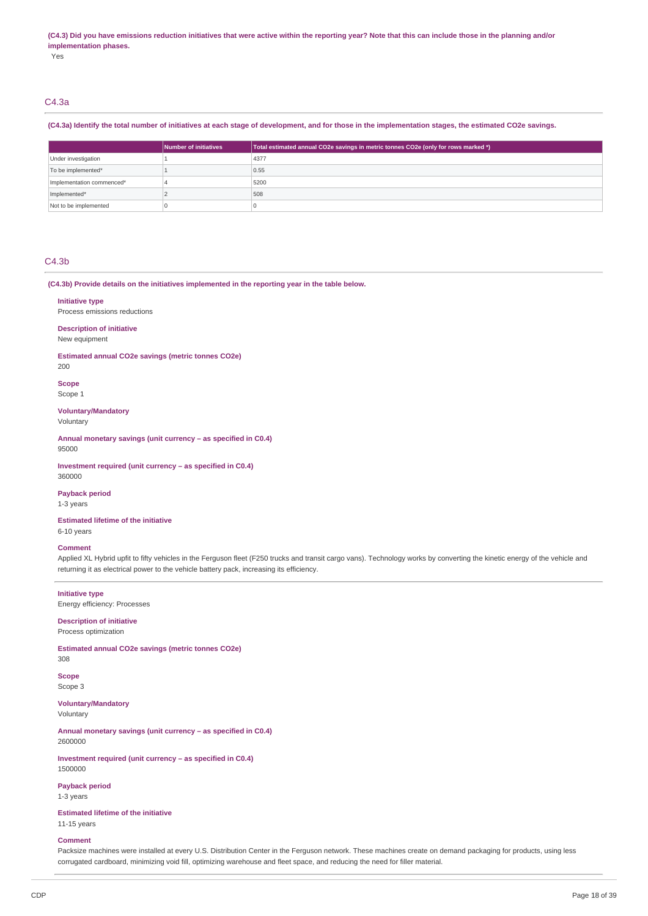#### (C4.3) Did you have emissions reduction initiatives that were active within the reporting year? Note that this can include those in the planning and/or **implementation phases.**

Yes

## C4.3a

## (C4.3a) Identify the total number of initiatives at each stage of development, and for those in the implementation stages, the estimated CO2e savings.

|                           | Number of initiatives | $\mid$ Total estimated annual CO2e savings in metric tonnes CO2e (only for rows marked *) $\mid$ |
|---------------------------|-----------------------|--------------------------------------------------------------------------------------------------|
| Under investigation       |                       | 4377                                                                                             |
| To be implemented*        |                       | 0.55                                                                                             |
| Implementation commenced* |                       | 5200                                                                                             |
| Implemented*              |                       | 508                                                                                              |
| Not to be implemented     |                       |                                                                                                  |

## C4.3b

#### **(C4.3b) Provide details on the initiatives implemented in the reporting year in the table below.**

**Initiative type**

Process emissions reductions

### **Description of initiative**

## New equipment

**Estimated annual CO2e savings (metric tonnes CO2e)**

200

**Scope** Scope 1

## **Voluntary/Mandatory**

Voluntary

**Annual monetary savings (unit currency – as specified in C0.4)** 95000

**Investment required (unit currency – as specified in C0.4)** 360000

## **Payback period**

1-3 years

**Estimated lifetime of the initiative** 6-10 years

#### **Comment**

Applied XL Hybrid upfit to fifty vehicles in the Ferguson fleet (F250 trucks and transit cargo vans). Technology works by converting the kinetic energy of the vehicle and returning it as electrical power to the vehicle battery pack, increasing its efficiency.

### **Initiative type**

Energy efficiency: Processes

## **Description of initiative**

Process optimization

**Estimated annual CO2e savings (metric tonnes CO2e)** 308

**Scope**

Scope 3

**Voluntary/Mandatory** Voluntary

**Annual monetary savings (unit currency – as specified in C0.4)** 2600000

**Investment required (unit currency – as specified in C0.4)** 1500000

**Payback period** 1-3 years

**Estimated lifetime of the initiative** 11-15 years

#### **Comment**

Packsize machines were installed at every U.S. Distribution Center in the Ferguson network. These machines create on demand packaging for products, using less corrugated cardboard, minimizing void fill, optimizing warehouse and fleet space, and reducing the need for filler material.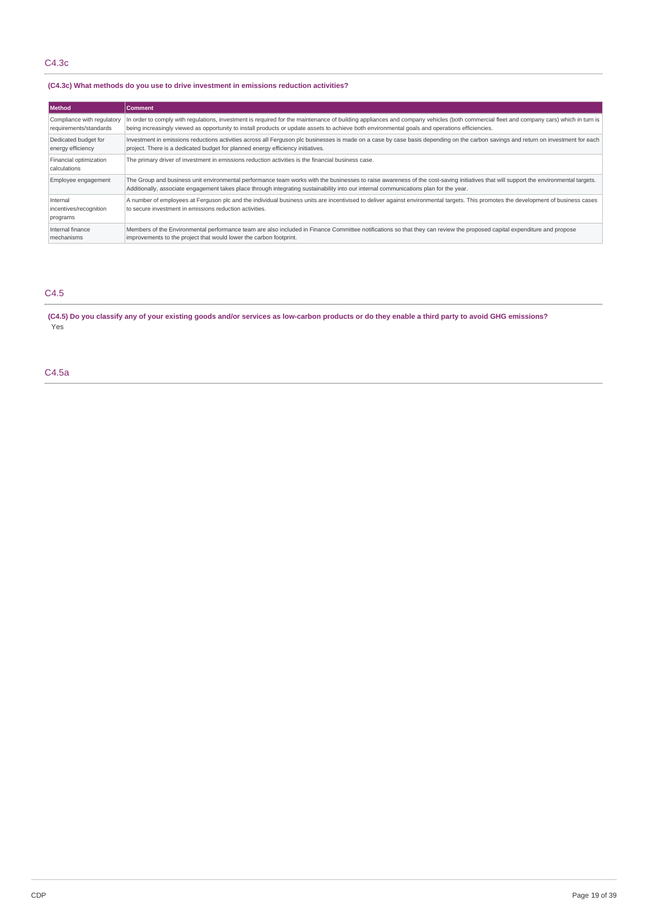## **(C4.3c) What methods do you use to drive investment in emissions reduction activities?**

| <b>Method</b>                                        | <b>Comment</b>                                                                                                                                                                                                                                                                                                                          |
|------------------------------------------------------|-----------------------------------------------------------------------------------------------------------------------------------------------------------------------------------------------------------------------------------------------------------------------------------------------------------------------------------------|
| Compliance with regulatory<br>requirements/standards | In order to comply with requlations, investment is required for the maintenance of building appliances and company vehicles (both commercial fleet and company cars) which in turn is<br>being increasingly viewed as opportunity to install products or update assets to achieve both environmental goals and operations efficiencies. |
| Dedicated budget for<br>energy efficiency            | Investment in emissions reductions activities across all Ferguson plc businesses is made on a case by case basis depending on the carbon savings and return on investment for each<br>project. There is a dedicated budget for planned energy efficiency initiatives.                                                                   |
| Financial optimization<br>calculations               | The primary driver of investment in emissions reduction activities is the financial business case.                                                                                                                                                                                                                                      |
| Employee engagement                                  | The Group and business unit environmental performance team works with the businesses to raise awareness of the cost-saving initiatives that will support the environmental targets.<br>Additionally, associate engagement takes place through integrating sustainability into our internal communications plan for the year.            |
| Internal<br>incentives/recognition<br>programs       | A number of employees at Ferguson plc and the individual business units are incentivised to deliver against environmental targets. This promotes the development of business cases<br>to secure investment in emissions reduction activities.                                                                                           |
| Internal finance<br>mechanisms                       | Members of the Environmental performance team are also included in Finance Committee notifications so that they can review the proposed capital expenditure and propose<br>improvements to the project that would lower the carbon footprint.                                                                                           |

## C4.5

(C4.5) Do you classify any of your existing goods and/or services as low-carbon products or do they enable a third party to avoid GHG emissions? Yes

C4.5a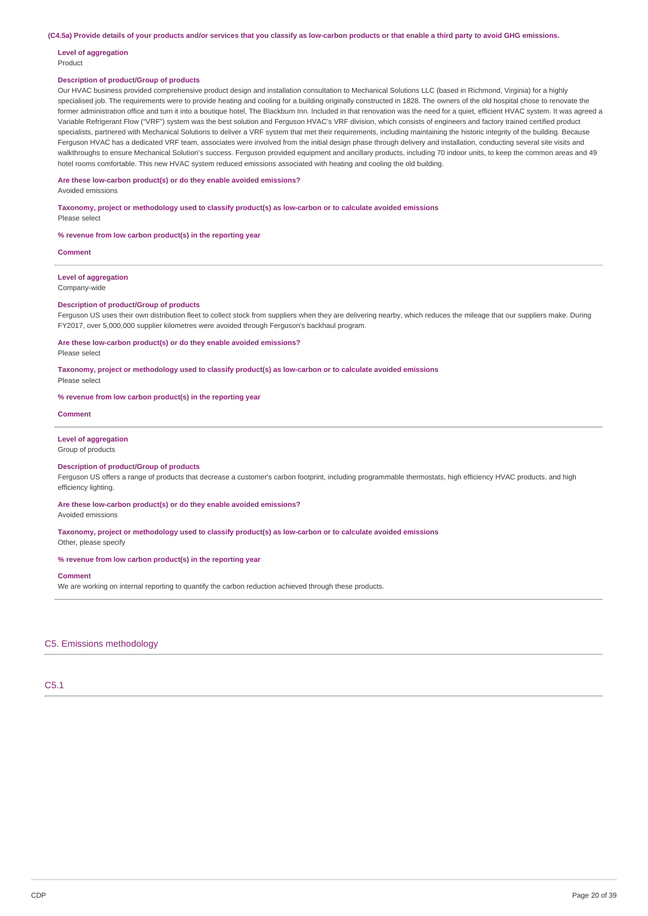#### (C4.5a) Provide details of your products and/or services that you classify as low-carbon products or that enable a third party to avoid GHG emissions.

#### **Level of aggregation** Product

#### **Description of product/Group of products**

Our HVAC business provided comprehensive product design and installation consultation to Mechanical Solutions LLC (based in Richmond, Virginia) for a highly specialised job. The requirements were to provide heating and cooling for a building originally constructed in 1828. The owners of the old hospital chose to renovate the former administration office and turn it into a boutique hotel, The Blackburn Inn. Included in that renovation was the need for a quiet, efficient HVAC system. It was agreed a Variable Refrigerant Flow ("VRF") system was the best solution and Ferguson HVAC's VRF division, which consists of engineers and factory trained certified product specialists, partnered with Mechanical Solutions to deliver a VRF system that met their requirements, including maintaining the historic integrity of the building. Because Ferguson HVAC has a dedicated VRF team, associates were involved from the initial design phase through delivery and installation, conducting several site visits and walkthroughs to ensure Mechanical Solution's success. Ferguson provided equipment and ancillary products, including 70 indoor units, to keep the common areas and 49 hotel rooms comfortable. This new HVAC system reduced emissions associated with heating and cooling the old building.

## **Are these low-carbon product(s) or do they enable avoided emissions?**

#### Avoided emissions

**Taxonomy, project or methodology used to classify product(s) as low-carbon or to calculate avoided emissions**

Please select

#### **% revenue from low carbon product(s) in the reporting year**

**Comment**

#### **Level of aggregation**

Company-wide

### **Description of product/Group of products**

Ferguson US uses their own distribution fleet to collect stock from suppliers when they are delivering nearby, which reduces the mileage that our suppliers make. During FY2017, over 5,000,000 supplier kilometres were avoided through Ferguson's backhaul program.

**Are these low-carbon product(s) or do they enable avoided emissions?**

Please select

Please select

**Taxonomy, project or methodology used to classify product(s) as low-carbon or to calculate avoided emissions**

#### **% revenue from low carbon product(s) in the reporting year**

**Comment**

#### **Level of aggregation** Group of products

#### **Description of product/Group of products**

Ferguson US offers a range of products that decrease a customer's carbon footprint, including programmable thermostats, high efficiency HVAC products, and high efficiency lighting.

## **Are these low-carbon product(s) or do they enable avoided emissions?**

Avoided emissions

**Taxonomy, project or methodology used to classify product(s) as low-carbon or to calculate avoided emissions** Other, please specify

### **% revenue from low carbon product(s) in the reporting year**

#### **Comment**

We are working on internal reporting to quantify the carbon reduction achieved through these products.

## C5. Emissions methodology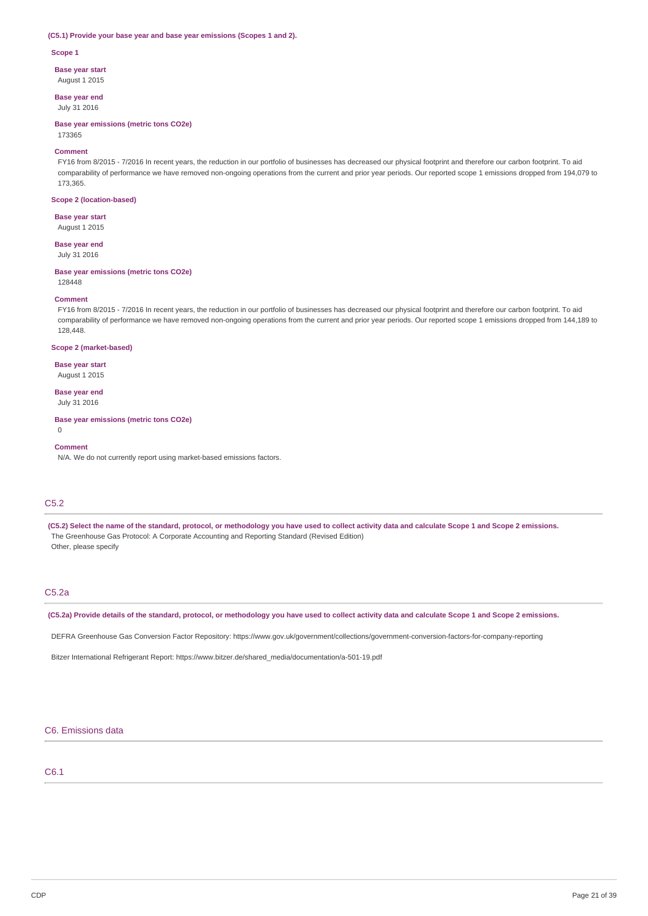#### **(C5.1) Provide your base year and base year emissions (Scopes 1 and 2).**

#### **Scope 1**

**Base year start**

August 1 2015

**Base year end** July 31 2016

**Base year emissions (metric tons CO2e)** 173365

### **Comment**

FY16 from 8/2015 - 7/2016 In recent years, the reduction in our portfolio of businesses has decreased our physical footprint and therefore our carbon footprint. To aid comparability of performance we have removed non-ongoing operations from the current and prior year periods. Our reported scope 1 emissions dropped from 194,079 to 173,365.

#### **Scope 2 (location-based)**

**Base year start**

August 1 2015

**Base year end** July 31 2016

#### **Base year emissions (metric tons CO2e)** 128448

#### **Comment**

FY16 from 8/2015 - 7/2016 In recent years, the reduction in our portfolio of businesses has decreased our physical footprint and therefore our carbon footprint. To aid comparability of performance we have removed non-ongoing operations from the current and prior year periods. Our reported scope 1 emissions dropped from 144,189 to 128,448.

#### **Scope 2 (market-based)**

**Base year start**

August 1 2015

**Base year end** July 31 2016

**Base year emissions (metric tons CO2e)**

## $\theta$ **Comment**

N/A. We do not currently report using market-based emissions factors.

## C5.2

(C5.2) Select the name of the standard, protocol, or methodology you have used to collect activity data and calculate Scope 1 and Scope 2 emissions. The Greenhouse Gas Protocol: A Corporate Accounting and Reporting Standard (Revised Edition) Other, please specify

## C5.2a

(C5.2a) Provide details of the standard, protocol, or methodology you have used to collect activity data and calculate Scope 1 and Scope 2 emissions.

DEFRA Greenhouse Gas Conversion Factor Repository: https://www.gov.uk/government/collections/government-conversion-factors-for-company-reporting

Bitzer International Refrigerant Report: https://www.bitzer.de/shared\_media/documentation/a-501-19.pdf

### C6. Emissions data

## C6.1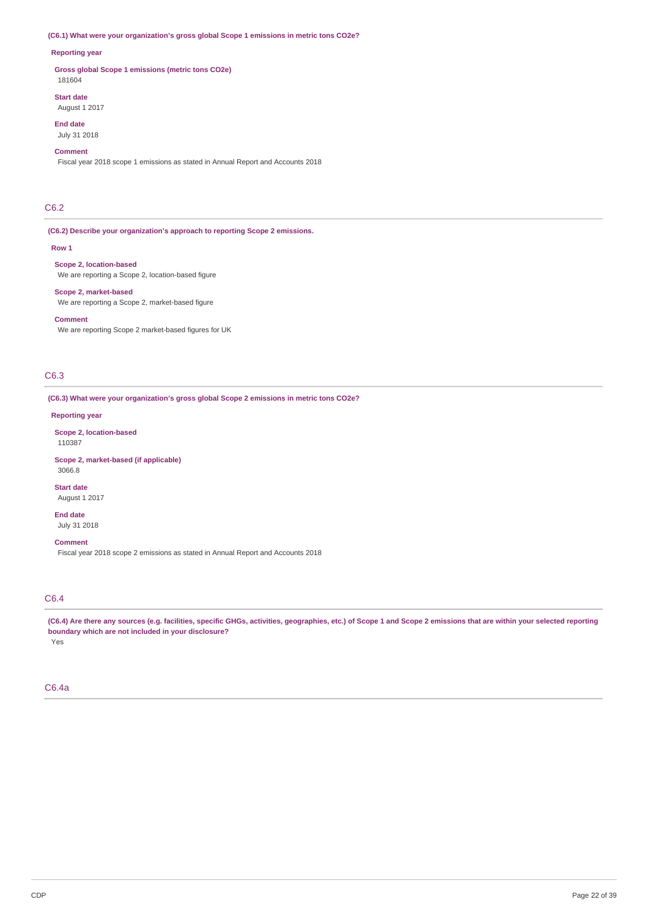## **(C6.1) What were your organization's gross global Scope 1 emissions in metric tons CO2e?**

#### **Reporting year**

**Gross global Scope 1 emissions (metric tons CO2e)** 181604

#### **Start date**

August 1 2017

## **End date**

July 31 2018

## **Comment**

Fiscal year 2018 scope 1 emissions as stated in Annual Report and Accounts 2018

## C6.2

## **(C6.2) Describe your organization's approach to reporting Scope 2 emissions.**

#### **Row 1**

**Scope 2, location-based** We are reporting a Scope 2, location-based figure

## **Scope 2, market-based**

We are reporting a Scope 2, market-based figure

#### **Comment**

We are reporting Scope 2 market-based figures for UK

## C6.3

**(C6.3) What were your organization's gross global Scope 2 emissions in metric tons CO2e?**

#### **Reporting year**

**Scope 2, location-based** 110387

**Scope 2, market-based (if applicable)** 3066.8

### **Start date**

August 1 2017

## **End date** July 31 2018

#### **Comment**

Fiscal year 2018 scope 2 emissions as stated in Annual Report and Accounts 2018

## C6.4

(C6.4) Are there any sources (e.g. facilities, specific GHGs, activities, geographies, etc.) of Scope 1 and Scope 2 emissions that are within your selected reporting **boundary which are not included in your disclosure?** Yes

#### C6.4a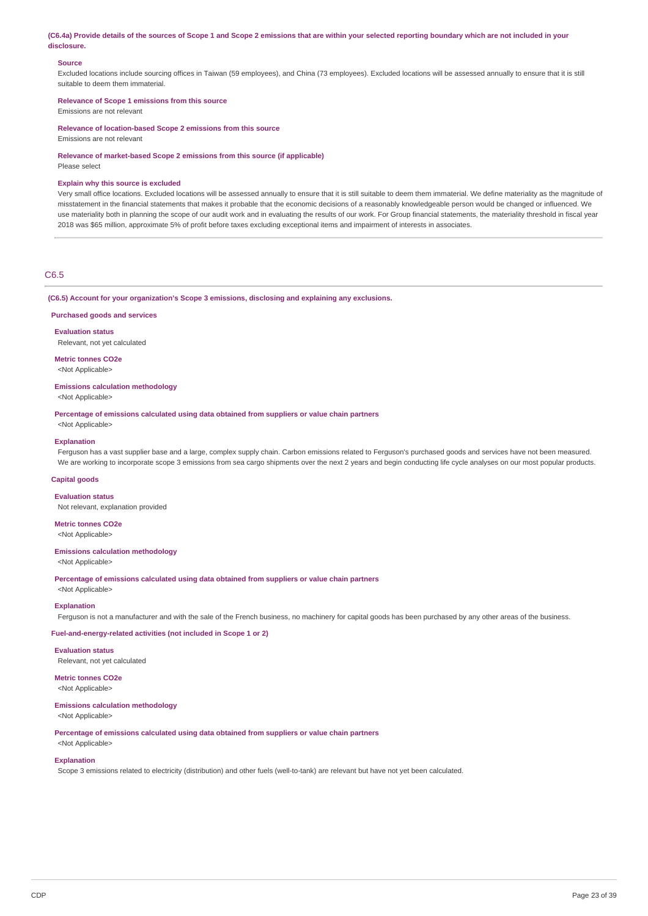(C6.4a) Provide details of the sources of Scope 1 and Scope 2 emissions that are within your selected reporting boundary which are not included in your **disclosure.**

#### **Source**

Excluded locations include sourcing offices in Taiwan (59 employees), and China (73 employees). Excluded locations will be assessed annually to ensure that it is still suitable to deem them immaterial.

### **Relevance of Scope 1 emissions from this source**

Emissions are not relevant

## **Relevance of location-based Scope 2 emissions from this source**

Emissions are not relevant

**Relevance of market-based Scope 2 emissions from this source (if applicable)**

## Please select

## **Explain why this source is excluded**

Very small office locations. Excluded locations will be assessed annually to ensure that it is still suitable to deem them immaterial. We define materiality as the magnitude of misstatement in the financial statements that makes it probable that the economic decisions of a reasonably knowledgeable person would be changed or influenced. We use materiality both in planning the scope of our audit work and in evaluating the results of our work. For Group financial statements, the materiality threshold in fiscal year 2018 was \$65 million, approximate 5% of profit before taxes excluding exceptional items and impairment of interests in associates.

## C6.5

**(C6.5) Account for your organization's Scope 3 emissions, disclosing and explaining any exclusions.**

### **Purchased goods and services**

**Evaluation status** Relevant, not yet calculated

#### **Metric tonnes CO2e** <Not Applicable>

**Emissions calculation methodology**

<Not Applicable>

**Percentage of emissions calculated using data obtained from suppliers or value chain partners** <Not Applicable>

## **Explanation**

Ferguson has a vast supplier base and a large, complex supply chain. Carbon emissions related to Ferguson's purchased goods and services have not been measured. We are working to incorporate scope 3 emissions from sea cargo shipments over the next 2 years and begin conducting life cycle analyses on our most popular products.

#### **Capital goods**

**Evaluation status**

Not relevant, explanation provided

**Metric tonnes CO2e** <Not Applicable>

#### **Emissions calculation methodology**

<Not Applicable>

**Percentage of emissions calculated using data obtained from suppliers or value chain partners**

## <Not Applicable> **Explanation**

Ferguson is not a manufacturer and with the sale of the French business, no machinery for capital goods has been purchased by any other areas of the business.

#### **Fuel-and-energy-related activities (not included in Scope 1 or 2)**

**Evaluation status** Relevant, not yet calculated

**Metric tonnes CO2e**

<Not Applicable>

### **Emissions calculation methodology**

<Not Applicable>

**Percentage of emissions calculated using data obtained from suppliers or value chain partners**

## <Not Applicable> **Explanation**

Scope 3 emissions related to electricity (distribution) and other fuels (well-to-tank) are relevant but have not yet been calculated.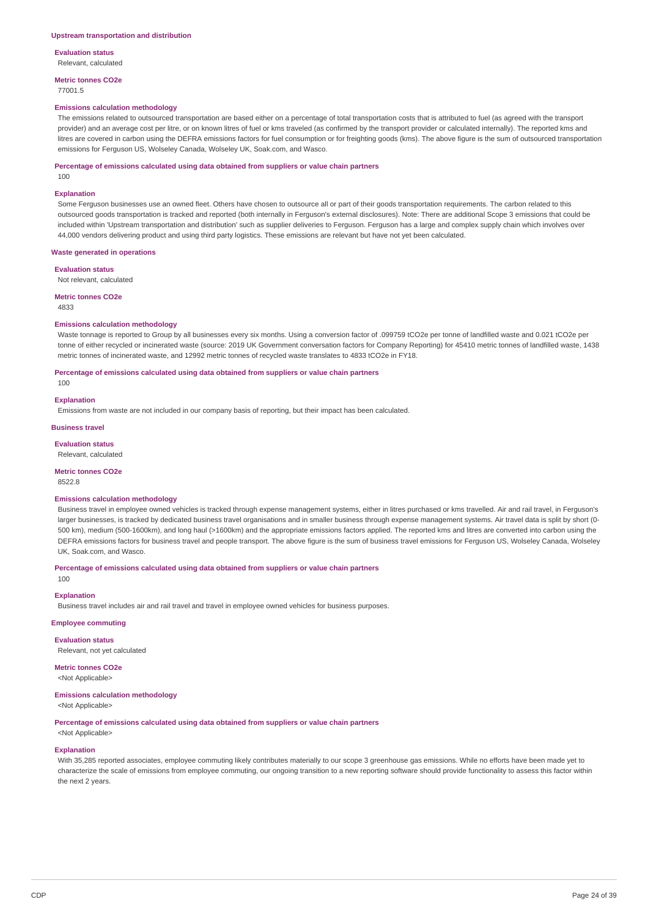**Evaluation status** Relevant, calculated

**Metric tonnes CO2e** 77001.5

#### **Emissions calculation methodology**

The emissions related to outsourced transportation are based either on a percentage of total transportation costs that is attributed to fuel (as agreed with the transport provider) and an average cost per litre, or on known litres of fuel or kms traveled (as confirmed by the transport provider or calculated internally). The reported kms and litres are covered in carbon using the DEFRA emissions factors for fuel consumption or for freighting goods (kms). The above figure is the sum of outsourced transportation emissions for Ferguson US, Wolseley Canada, Wolseley UK, Soak.com, and Wasco.

#### **Percentage of emissions calculated using data obtained from suppliers or value chain partners**

100

#### **Explanation**

Some Ferguson businesses use an owned fleet. Others have chosen to outsource all or part of their goods transportation requirements. The carbon related to this outsourced goods transportation is tracked and reported (both internally in Ferguson's external disclosures). Note: There are additional Scope 3 emissions that could be included within 'Upstream transportation and distribution' such as supplier deliveries to Ferguson. Ferguson has a large and complex supply chain which involves over 44,000 vendors delivering product and using third party logistics. These emissions are relevant but have not yet been calculated.

#### **Waste generated in operations**

**Evaluation status**

Not relevant, calculated

**Metric tonnes CO2e**

4833

#### **Emissions calculation methodology**

Waste tonnage is reported to Group by all businesses every six months. Using a conversion factor of .099759 tCO2e per tonne of landfilled waste and 0.021 tCO2e per tonne of either recycled or incinerated waste (source: 2019 UK Government conversation factors for Company Reporting) for 45410 metric tonnes of landfilled waste, 1438 metric tonnes of incinerated waste, and 12992 metric tonnes of recycled waste translates to 4833 tCO2e in FY18.

#### **Percentage of emissions calculated using data obtained from suppliers or value chain partners**

100

#### **Explanation**

Emissions from waste are not included in our company basis of reporting, but their impact has been calculated.

#### **Business travel**

**Evaluation status**

Relevant, calculated

#### **Metric tonnes CO2e**

8522.8

### **Emissions calculation methodology**

Business travel in employee owned vehicles is tracked through expense management systems, either in litres purchased or kms travelled. Air and rail travel, in Ferguson's larger businesses, is tracked by dedicated business travel organisations and in smaller business through expense management systems. Air travel data is split by short (0- 500 km), medium (500-1600km), and long haul (>1600km) and the appropriate emissions factors applied. The reported kms and litres are converted into carbon using the DEFRA emissions factors for business travel and people transport. The above figure is the sum of business travel emissions for Ferguson US, Wolseley Canada, Wolseley UK, Soak.com, and Wasco.

## **Percentage of emissions calculated using data obtained from suppliers or value chain partners**

100

#### **Explanation**

Business travel includes air and rail travel and travel in employee owned vehicles for business purposes.

## **Employee commuting**

**Evaluation status** Relevant, not yet calculated

## **Metric tonnes CO2e**

<Not Applicable>

## **Emissions calculation methodology**

<Not Applicable>

**Percentage of emissions calculated using data obtained from suppliers or value chain partners**

<Not Applicable>

### **Explanation**

With 35,285 reported associates, employee commuting likely contributes materially to our scope 3 greenhouse gas emissions. While no efforts have been made yet to characterize the scale of emissions from employee commuting, our ongoing transition to a new reporting software should provide functionality to assess this factor within the next 2 years.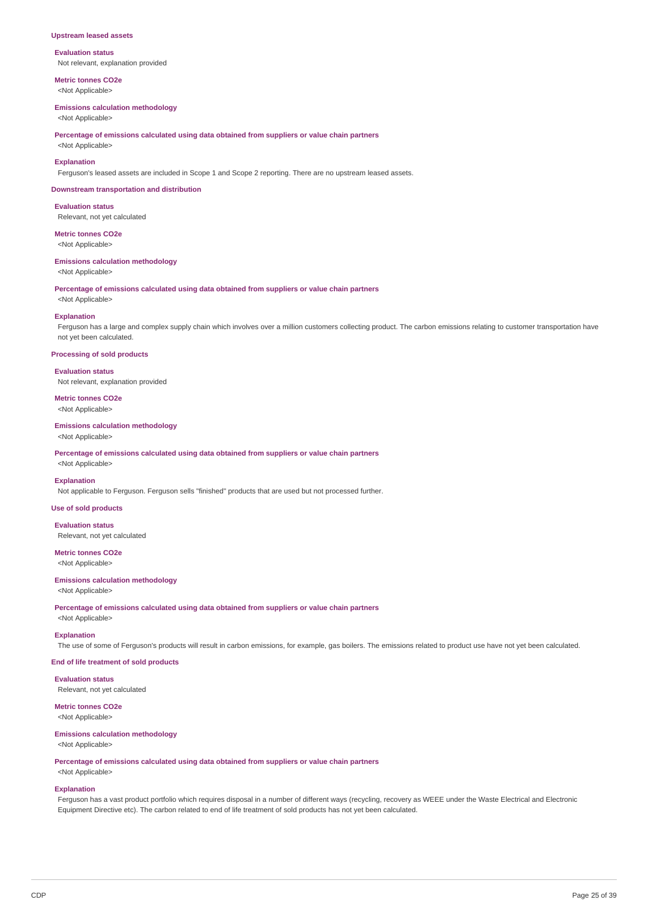#### **Upstream leased assets**

**Evaluation status** Not relevant, explanation provided

**Metric tonnes CO2e** <Not Applicable>

#### **Emissions calculation methodology**

<Not Applicable>

**Percentage of emissions calculated using data obtained from suppliers or value chain partners**

<Not Applicable>

## **Explanation**

Ferguson's leased assets are included in Scope 1 and Scope 2 reporting. There are no upstream leased assets.

#### **Downstream transportation and distribution**

**Evaluation status** Relevant, not yet calculated

## **Metric tonnes CO2e**

<Not Applicable>

#### **Emissions calculation methodology**

<Not Applicable>

#### **Percentage of emissions calculated using data obtained from suppliers or value chain partners**

<Not Applicable>

#### **Explanation**

Ferguson has a large and complex supply chain which involves over a million customers collecting product. The carbon emissions relating to customer transportation have not yet been calculated.

### **Processing of sold products**

**Evaluation status** Not relevant, explanation provided

#### **Metric tonnes CO2e** <Not Applicable>

## **Emissions calculation methodology**

<Not Applicable>

**Percentage of emissions calculated using data obtained from suppliers or value chain partners**

## <Not Applicable>

**Explanation**

Not applicable to Ferguson. Ferguson sells "finished" products that are used but not processed further.

### **Use of sold products**

**Evaluation status** Relevant, not yet calculated

## **Metric tonnes CO2e**

<Not Applicable>

## **Emissions calculation methodology**

<Not Applicable>

**Percentage of emissions calculated using data obtained from suppliers or value chain partners** <Not Applicable>

#### **Explanation**

The use of some of Ferguson's products will result in carbon emissions, for example, gas boilers. The emissions related to product use have not yet been calculated.

## **End of life treatment of sold products**

**Evaluation status** Relevant, not yet calculated

## **Metric tonnes CO2e**

<Not Applicable>

## **Emissions calculation methodology**

<Not Applicable>

**Percentage of emissions calculated using data obtained from suppliers or value chain partners** <Not Applicable>

## **Explanation**

Ferguson has a vast product portfolio which requires disposal in a number of different ways (recycling, recovery as WEEE under the Waste Electrical and Electronic Equipment Directive etc). The carbon related to end of life treatment of sold products has not yet been calculated.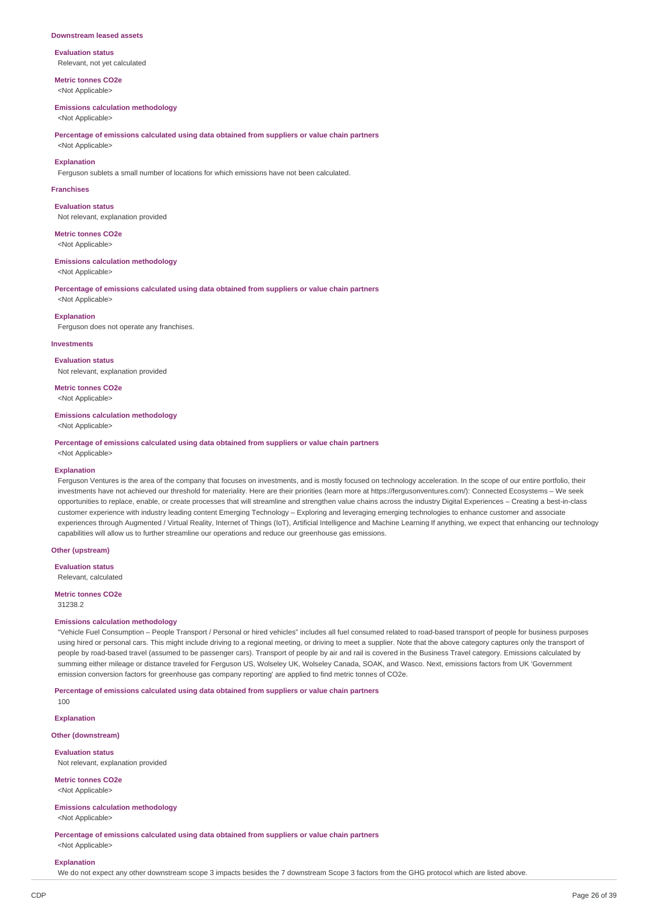#### **Downstream leased assets**

**Evaluation status** Relevant, not yet calculated

**Metric tonnes CO2e** <Not Applicable>

#### **Emissions calculation methodology**

<Not Applicable>

**Percentage of emissions calculated using data obtained from suppliers or value chain partners** <Not Applicable>

### **Explanation**

Ferguson sublets a small number of locations for which emissions have not been calculated.

#### **Franchises**

**Evaluation status** Not relevant, explanation provided

**Metric tonnes CO2e** <Not Applicable>

### **Emissions calculation methodology**

<Not Applicable>

<Not Applicable>

**Percentage of emissions calculated using data obtained from suppliers or value chain partners**

**Explanation**

Ferguson does not operate any franchises.

#### **Investments**

**Evaluation status** Not relevant, explanation provided

**Metric tonnes CO2e** <Not Applicable>

### **Emissions calculation methodology**

<Not Applicable>

#### **Percentage of emissions calculated using data obtained from suppliers or value chain partners**

<Not Applicable>

#### **Explanation**

Ferguson Ventures is the area of the company that focuses on investments, and is mostly focused on technology acceleration. In the scope of our entire portfolio, their investments have not achieved our threshold for materiality. Here are their priorities (learn more at https://fergusonventures.com/): Connected Ecosystems – We seek opportunities to replace, enable, or create processes that will streamline and strengthen value chains across the industry Digital Experiences – Creating a best-in-class customer experience with industry leading content Emerging Technology – Exploring and leveraging emerging technologies to enhance customer and associate experiences through Augmented / Virtual Reality, Internet of Things (IoT), Artificial Intelligence and Machine Learning If anything, we expect that enhancing our technology capabilities will allow us to further streamline our operations and reduce our greenhouse gas emissions.

#### **Other (upstream)**

**Evaluation status** Relevant, calculated

**Metric tonnes CO2e**

31238.2

#### **Emissions calculation methodology**

"Vehicle Fuel Consumption – People Transport / Personal or hired vehicles" includes all fuel consumed related to road-based transport of people for business purposes using hired or personal cars. This might include driving to a regional meeting, or driving to meet a supplier. Note that the above category captures only the transport of people by road-based travel (assumed to be passenger cars). Transport of people by air and rail is covered in the Business Travel category. Emissions calculated by summing either mileage or distance traveled for Ferguson US, Wolseley UK, Wolseley Canada, SOAK, and Wasco. Next, emissions factors from UK 'Government emission conversion factors for greenhouse gas company reporting' are applied to find metric tonnes of CO2e.

**Percentage of emissions calculated using data obtained from suppliers or value chain partners**

**Explanation**

 $100$ 

#### **Other (downstream)**

**Evaluation status** Not relevant, explanation provided

**Metric tonnes CO2e** <Not Applicable>

**Emissions calculation methodology** <Not Applicable>

**Percentage of emissions calculated using data obtained from suppliers or value chain partners** <Not Applicable>

#### **Explanation**

We do not expect any other downstream scope 3 impacts besides the 7 downstream Scope 3 factors from the GHG protocol which are listed above.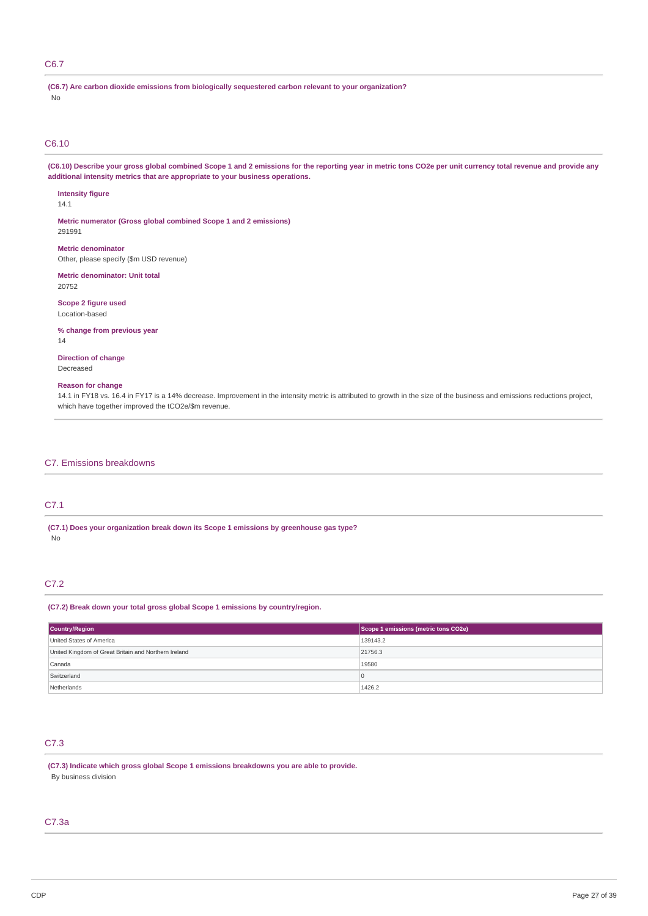## C6.7

**(C6.7) Are carbon dioxide emissions from biologically sequestered carbon relevant to your organization?** No

## C6.10

(C6.10) Describe your gross global combined Scope 1 and 2 emissions for the reporting year in metric tons CO2e per unit currency total revenue and provide any **additional intensity metrics that are appropriate to your business operations.**

**Intensity figure**

14.1

**Metric numerator (Gross global combined Scope 1 and 2 emissions)** 291991

**Metric denominator** Other, please specify (\$m USD revenue)

**Metric denominator: Unit total** 20752

**Scope 2 figure used** Location-based

**% change from previous year** 14

**Direction of change** Decreased

#### **Reason for change**

14.1 in FY18 vs. 16.4 in FY17 is a 14% decrease. Improvement in the intensity metric is attributed to growth in the size of the business and emissions reductions project, which have together improved the tCO2e/\$m revenue.

## C7. Emissions breakdowns

## C7.1

**(C7.1) Does your organization break down its Scope 1 emissions by greenhouse gas type?** No

## C7.2

**(C7.2) Break down your total gross global Scope 1 emissions by country/region.**

| Country/Region                                       | Scope 1 emissions (metric tons CO2e) |
|------------------------------------------------------|--------------------------------------|
| United States of America                             | 139143.2                             |
| United Kingdom of Great Britain and Northern Ireland | 21756.3                              |
| Canada                                               | 19580                                |
| Switzerland                                          | $\Omega$                             |
| Netherlands                                          | 1426.2                               |

## C7.3

**(C7.3) Indicate which gross global Scope 1 emissions breakdowns you are able to provide.** By business division

## C7.3a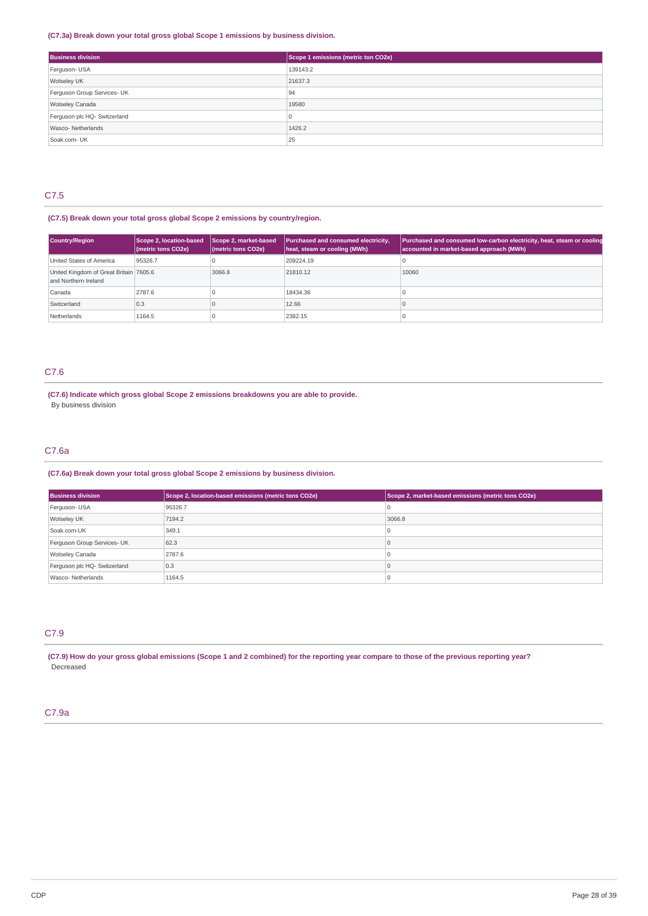## **(C7.3a) Break down your total gross global Scope 1 emissions by business division.**

| <b>Business division</b>     | Scope 1 emissions (metric ton CO2e) |
|------------------------------|-------------------------------------|
| Ferguson- USA                | 139143.2                            |
| Wolseley UK                  | 21637.3                             |
| Ferguson Group Services- UK  | 94                                  |
| <b>Wolseley Canada</b>       | 19580                               |
| Ferguson plc HQ- Switzerland | 10                                  |
| Wasco-Netherlands            | 1426.2                              |
| Soak.com- UK                 | 25                                  |

## C7.5

## **(C7.5) Break down your total gross global Scope 2 emissions by country/region.**

| <b>Country/Region</b>                                          | Scope 2, location-based<br>(metric tons CO2e) | Scope 2, market-based<br>(metric tons CO2e) | Purchased and consumed electricity,<br>heat, steam or cooling (MWh) | Purchased and consumed low-carbon electricity, heat, steam or cooling<br>accounted in market-based approach (MWh) |
|----------------------------------------------------------------|-----------------------------------------------|---------------------------------------------|---------------------------------------------------------------------|-------------------------------------------------------------------------------------------------------------------|
| United States of America                                       | 95326.7                                       |                                             | 209224.19                                                           |                                                                                                                   |
| United Kingdom of Great Britain 7605.6<br>and Northern Ireland |                                               | 3066.8                                      | 21810.12                                                            | 10060                                                                                                             |
| Canada                                                         | 2787.6                                        |                                             | 18434.36                                                            |                                                                                                                   |
| Switzerland                                                    | 0.3                                           |                                             | 12.66                                                               |                                                                                                                   |
| Netherlands                                                    | 1164.5                                        |                                             | 2382.15                                                             |                                                                                                                   |

## C7.6

**(C7.6) Indicate which gross global Scope 2 emissions breakdowns you are able to provide.** By business division

## C7.6a

## **(C7.6a) Break down your total gross global Scope 2 emissions by business division.**

| <b>Business division</b>     | Scope 2, location-based emissions (metric tons CO2e) | Scope 2, market-based emissions (metric tons CO2e) |
|------------------------------|------------------------------------------------------|----------------------------------------------------|
| Ferguson- USA                | 95326.7                                              |                                                    |
| Wolseley UK                  | 7194.2                                               | 3066.8                                             |
| Soak.com-UK                  | 349.1                                                |                                                    |
| Ferguson Group Services- UK  | 62.3                                                 |                                                    |
| Wolseley Canada              | 2787.6                                               |                                                    |
| Ferguson plc HQ- Switzerland | 0.3                                                  |                                                    |
| Wasco-Netherlands            | 1164.5                                               |                                                    |

## C7.9

(C7.9) How do your gross global emissions (Scope 1 and 2 combined) for the reporting year compare to those of the previous reporting year? Decreased

## C7.9a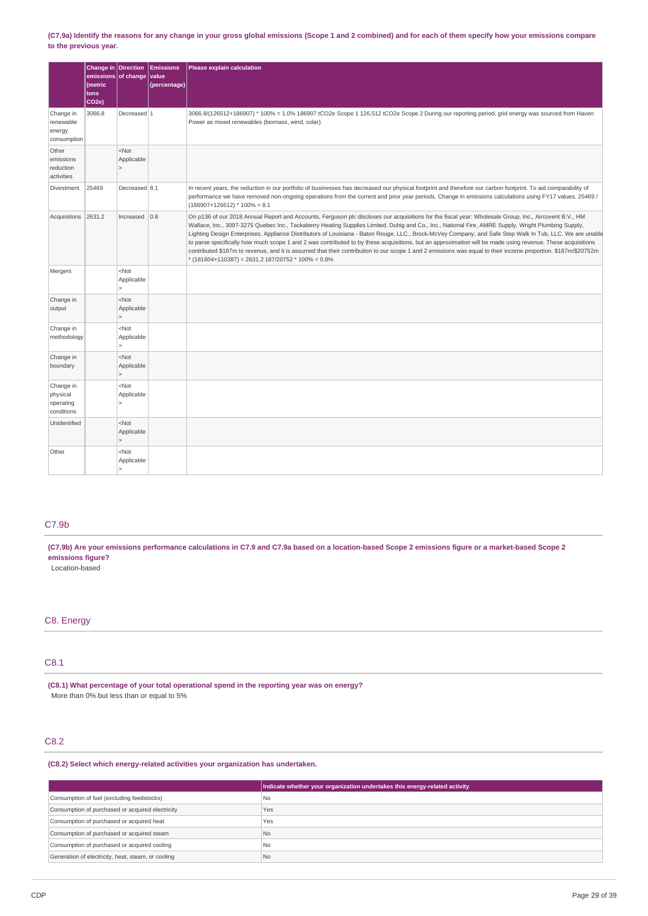### (C7.9a) Identify the reasons for any change in your gross global emissions (Scope 1 and 2 combined) and for each of them specify how your emissions compare **to the previous year.**

|                                                  | Change in Direction<br>emissions of change<br>(metric<br>tons<br>CO <sub>2</sub> e) |                                                   | <b>Emissions</b><br>value<br>(percentage) | Please explain calculation                                                                                                                                                                                                                                                                                                                                                                                                                                                                                                                                                                                                                                                                                                                                                                                                                                      |
|--------------------------------------------------|-------------------------------------------------------------------------------------|---------------------------------------------------|-------------------------------------------|-----------------------------------------------------------------------------------------------------------------------------------------------------------------------------------------------------------------------------------------------------------------------------------------------------------------------------------------------------------------------------------------------------------------------------------------------------------------------------------------------------------------------------------------------------------------------------------------------------------------------------------------------------------------------------------------------------------------------------------------------------------------------------------------------------------------------------------------------------------------|
| Change in<br>renewable<br>energy<br>consumption  | 3066.8                                                                              | Decreased 1                                       |                                           | 3066.8/(126512+186907) * 100% = 1.0% 186907 tCO2e Scope 1 126,512 tCO2e Scope 2 During our reporting period, grid energy was sourced from Haven<br>Power as mixed renewables (biomass, wind, solar)                                                                                                                                                                                                                                                                                                                                                                                                                                                                                                                                                                                                                                                             |
| Other<br>emissions<br>reduction<br>activities    |                                                                                     | $<$ Not<br>Applicable<br>$\vert$                  |                                           |                                                                                                                                                                                                                                                                                                                                                                                                                                                                                                                                                                                                                                                                                                                                                                                                                                                                 |
| Divestment                                       | 25469                                                                               | Decreased 8.1                                     |                                           | In recent years, the reduction in our portfolio of businesses has decreased our physical footprint and therefore our carbon footprint. To aid comparability of<br>performance we have removed non-ongoing operations from the current and prior year periods. Change in emissions calculations using FY17 values. 25469 /<br>$(186907+126512)*100% = 8.1$                                                                                                                                                                                                                                                                                                                                                                                                                                                                                                       |
| Acquisitions                                     | 2631.2                                                                              | Increased                                         | 0.8                                       | On p136 of our 2018 Annual Report and Accounts, Ferguson plc discloses our acquisitions for the fiscal year: Wholesale Group, Inc., Aircovent B.V., HM<br>Wallace, Inc., 3097-3275 Quebec Inc., Tackaberry Heating Supplies Limited, Duhig and Co., Inc., National Fire, AMRE Supply, Wright Plumbing Supply,<br>Lighting Design Enterprises, Appliance Distributors of Louisiana - Baton Rouge, LLC., Brock-McVey Company, and Safe Step Walk In Tub, LLC. We are unable<br>to parse specifically how much scope 1 and 2 was contributed to by these acquisitions, but an approximation will be made using revenue. These acquisitions<br>contributed \$187m to revenue, and it is assumed that their contribution to our scope 1 and 2 emissions was equal to their income proportion. \$187m/\$20752m<br>$*(181604+110387) = 2631.2 187/20752 * 100% = 0.8%$ |
| Mergers                                          |                                                                                     | <not<br>Applicable<br/><math>\geq</math></not<br> |                                           |                                                                                                                                                                                                                                                                                                                                                                                                                                                                                                                                                                                                                                                                                                                                                                                                                                                                 |
| Change in<br>output                              |                                                                                     | $<$ Not<br>Applicable<br>$\vert$                  |                                           |                                                                                                                                                                                                                                                                                                                                                                                                                                                                                                                                                                                                                                                                                                                                                                                                                                                                 |
| Change in<br>methodology                         |                                                                                     | $<$ Not<br>Applicable<br>5                        |                                           |                                                                                                                                                                                                                                                                                                                                                                                                                                                                                                                                                                                                                                                                                                                                                                                                                                                                 |
| Change in<br>boundary                            |                                                                                     | $<$ Not<br>Applicable<br>$\vert$                  |                                           |                                                                                                                                                                                                                                                                                                                                                                                                                                                                                                                                                                                                                                                                                                                                                                                                                                                                 |
| Change in<br>physical<br>operating<br>conditions |                                                                                     | $<$ Not<br>Applicable<br>ь                        |                                           |                                                                                                                                                                                                                                                                                                                                                                                                                                                                                                                                                                                                                                                                                                                                                                                                                                                                 |
| Unidentified                                     |                                                                                     | $<$ Not<br>Applicable<br>$\vert$                  |                                           |                                                                                                                                                                                                                                                                                                                                                                                                                                                                                                                                                                                                                                                                                                                                                                                                                                                                 |
| Other                                            |                                                                                     | $<$ Not<br>Applicable<br>$\geq$                   |                                           |                                                                                                                                                                                                                                                                                                                                                                                                                                                                                                                                                                                                                                                                                                                                                                                                                                                                 |

## C7.9b

(C7.9b) Are your emissions performance calculations in C7.9 and C7.9a based on a location-based Scope 2 emissions figure or a market-based Scope 2 **emissions figure?**

Location-based

## C8. Energy

## C8.1

**(C8.1) What percentage of your total operational spend in the reporting year was on energy?** More than 0% but less than or equal to 5%

## C8.2

**(C8.2) Select which energy-related activities your organization has undertaken.**

|                                                    | Indicate whether your organization undertakes this energy-related activity |
|----------------------------------------------------|----------------------------------------------------------------------------|
| Consumption of fuel (excluding feedstocks)         | No.                                                                        |
| Consumption of purchased or acquired electricity   | Yes                                                                        |
| Consumption of purchased or acquired heat          | Yes                                                                        |
| Consumption of purchased or acquired steam         | No.                                                                        |
| Consumption of purchased or acquired cooling       | No.                                                                        |
| Generation of electricity, heat, steam, or cooling | No.                                                                        |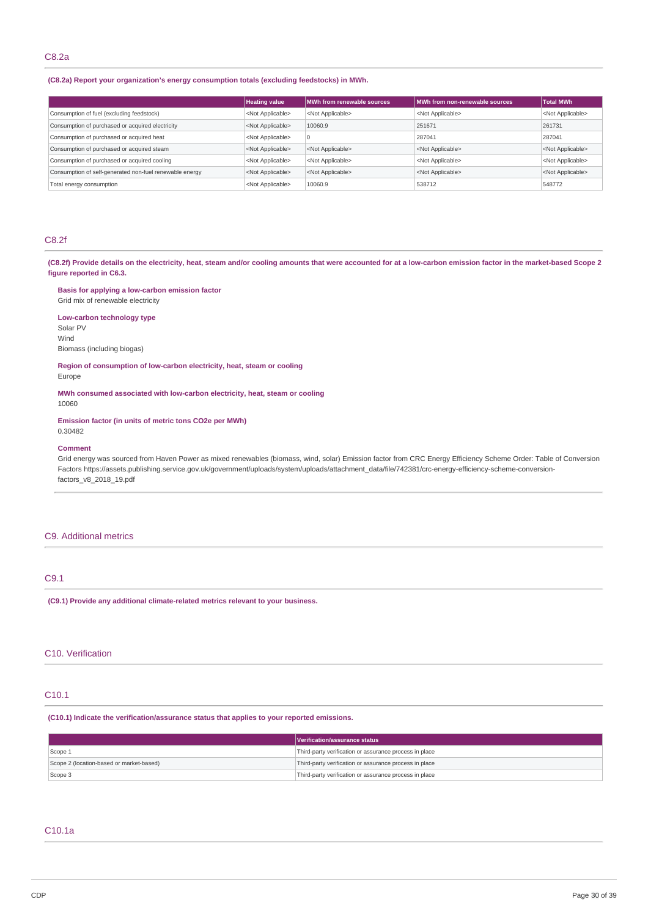## **(C8.2a) Report your organization's energy consumption totals (excluding feedstocks) in MWh.**

|                                                         | <b>Heating value</b>      | MWh from renewable sources | MWh from non-renewable sources | <b>Total MWh</b>          |
|---------------------------------------------------------|---------------------------|----------------------------|--------------------------------|---------------------------|
| Consumption of fuel (excluding feedstock)               | <not applicable=""></not> | <not applicable=""></not>  | <not applicable=""></not>      | <not applicable=""></not> |
| Consumption of purchased or acquired electricity        | <not applicable=""></not> | 10060.9                    | 251671                         | 261731                    |
| Consumption of purchased or acquired heat               | <not applicable=""></not> | υ                          | 287041                         | 287041                    |
| Consumption of purchased or acquired steam              | <not applicable=""></not> | <not applicable=""></not>  | <not applicable=""></not>      | <not applicable=""></not> |
| Consumption of purchased or acquired cooling            | <not applicable=""></not> | <not applicable=""></not>  | <not applicable=""></not>      | <not applicable=""></not> |
| Consumption of self-generated non-fuel renewable energy | <not applicable=""></not> | <not applicable=""></not>  | <not applicable=""></not>      | <not applicable=""></not> |
| Total energy consumption                                | <not applicable=""></not> | 10060.9                    | 538712                         | 548772                    |

## C8.2f

(C8.2f) Provide details on the electricity, heat, steam and/or cooling amounts that were accounted for at a low-carbon emission factor in the market-based Scope 2 **figure reported in C6.3.**

## **Basis for applying a low-carbon emission factor** Grid mix of renewable electricity

**Low-carbon technology type** Solar PV Wind Biomass (including biogas)

**Region of consumption of low-carbon electricity, heat, steam or cooling** Europe

**MWh consumed associated with low-carbon electricity, heat, steam or cooling** 10060

**Emission factor (in units of metric tons CO2e per MWh)** 0.30482

#### **Comment**

Grid energy was sourced from Haven Power as mixed renewables (biomass, wind, solar) Emission factor from CRC Energy Efficiency Scheme Order: Table of Conversion Factors https://assets.publishing.service.gov.uk/government/uploads/system/uploads/attachment\_data/file/742381/crc-energy-efficiency-scheme-conversionfactors\_v8\_2018\_19.pdf

#### C9. Additional metrics

## C9.1

**(C9.1) Provide any additional climate-related metrics relevant to your business.**

## C10. Verification

## C10.1

**(C10.1) Indicate the verification/assurance status that applies to your reported emissions.**

|                                          | Verification/assurance status                          |
|------------------------------------------|--------------------------------------------------------|
| Scope 1                                  | Third-party verification or assurance process in place |
| Scope 2 (location-based or market-based) | Third-party verification or assurance process in place |
| Scope 3                                  | Third-party verification or assurance process in place |

## C10.1a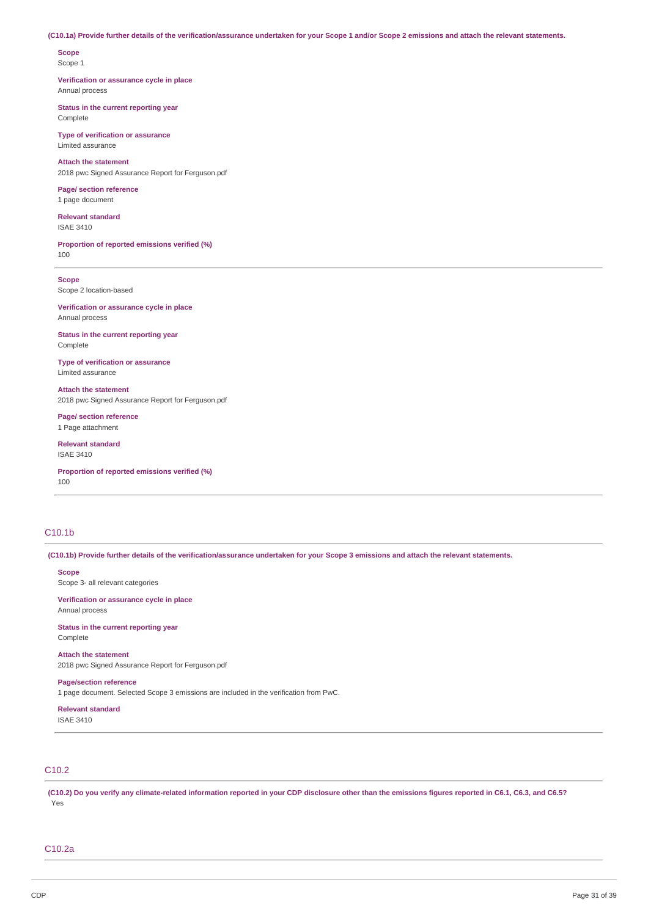#### (C10.1a) Provide further details of the verification/assurance undertaken for your Scope 1 and/or Scope 2 emissions and attach the relevant statements.

# **Scope**

Scope 1

#### **Verification or assurance cycle in place** Annual process

**Status in the current reporting year**

Complete

**Type of verification or assurance** Limited assurance

## **Attach the statement**

2018 pwc Signed Assurance Report for Ferguson.pdf

## **Page/ section reference**

1 page document

#### **Relevant standard** ISAE 3410

**Proportion of reported emissions verified (%)** 100

#### **Scope**

Scope 2 location-based

**Verification or assurance cycle in place** Annual process

**Status in the current reporting year** Complete

**Type of verification or assurance** Limited assurance

**Attach the statement** 2018 pwc Signed Assurance Report for Ferguson.pdf

**Page/ section reference** 1 Page attachment

**Relevant standard** ISAE 3410

**Proportion of reported emissions verified (%)** 100

## C10.1b

(C10.1b) Provide further details of the verification/assurance undertaken for your Scope 3 emissions and attach the relevant statements.

**Scope**

Scope 3- all relevant categories

**Verification or assurance cycle in place** Annual process

**Status in the current reporting year** Complete

**Attach the statement** 2018 pwc Signed Assurance Report for Ferguson.pdf

**Page/section reference** 1 page document. Selected Scope 3 emissions are included in the verification from PwC.

**Relevant standard** ISAE 3410

## C10.2

(C10.2) Do you verify any climate-related information reported in your CDP disclosure other than the emissions figures reported in C6.1, C6.3, and C6.5? Yes

## C10.2a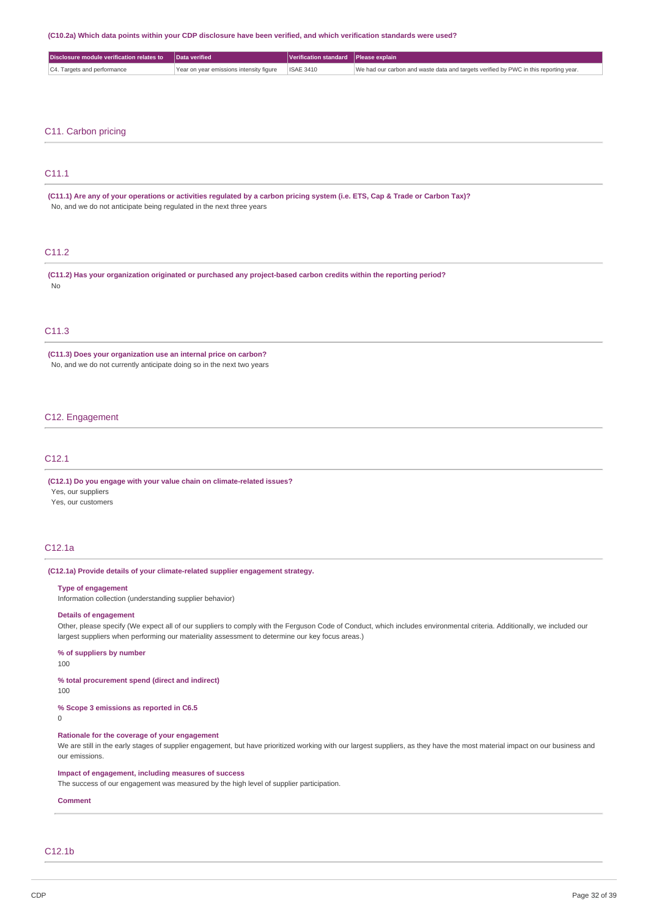#### (C10.2a) Which data points within your CDP disclosure have been verified, and which verification standards were used?

| $\blacksquare$ Disclosure module verification relates to $\blacksquare$ Data verified |                                                     | Verification standard Please explain |                                                                                      |
|---------------------------------------------------------------------------------------|-----------------------------------------------------|--------------------------------------|--------------------------------------------------------------------------------------|
| C4. Targets and performance                                                           | Year on year emissions intensity figure   ISAE 3410 |                                      | We had our carbon and waste data and targets verified by PWC in this reporting year. |
|                                                                                       |                                                     |                                      |                                                                                      |

### C11. Carbon pricing

## C11.1

(C11.1) Are any of your operations or activities regulated by a carbon pricing system (i.e. ETS, Cap & Trade or Carbon Tax)? No, and we do not anticipate being regulated in the next three years

## C11.2

**(C11.2) Has your organization originated or purchased any project-based carbon credits within the reporting period?** No

## C11.3

**(C11.3) Does your organization use an internal price on carbon?** No, and we do not currently anticipate doing so in the next two years

#### C12. Engagement

## C12.1

**(C12.1) Do you engage with your value chain on climate-related issues?** Yes, our suppliers

Yes, our customers

## C12.1a

#### **(C12.1a) Provide details of your climate-related supplier engagement strategy.**

#### **Type of engagement**

Information collection (understanding supplier behavior)

#### **Details of engagement**

Other, please specify (We expect all of our suppliers to comply with the Ferguson Code of Conduct, which includes environmental criteria. Additionally, we included our largest suppliers when performing our materiality assessment to determine our key focus areas.)

#### **% of suppliers by number**

100

## **% total procurement spend (direct and indirect)**

100

## **% Scope 3 emissions as reported in C6.5**

0

## **Rationale for the coverage of your engagement**

We are still in the early stages of supplier engagement, but have prioritized working with our largest suppliers, as they have the most material impact on our business and our emissions.

## **Impact of engagement, including measures of success**

The success of our engagement was measured by the high level of supplier participation.

## **Comment**

## C12.1b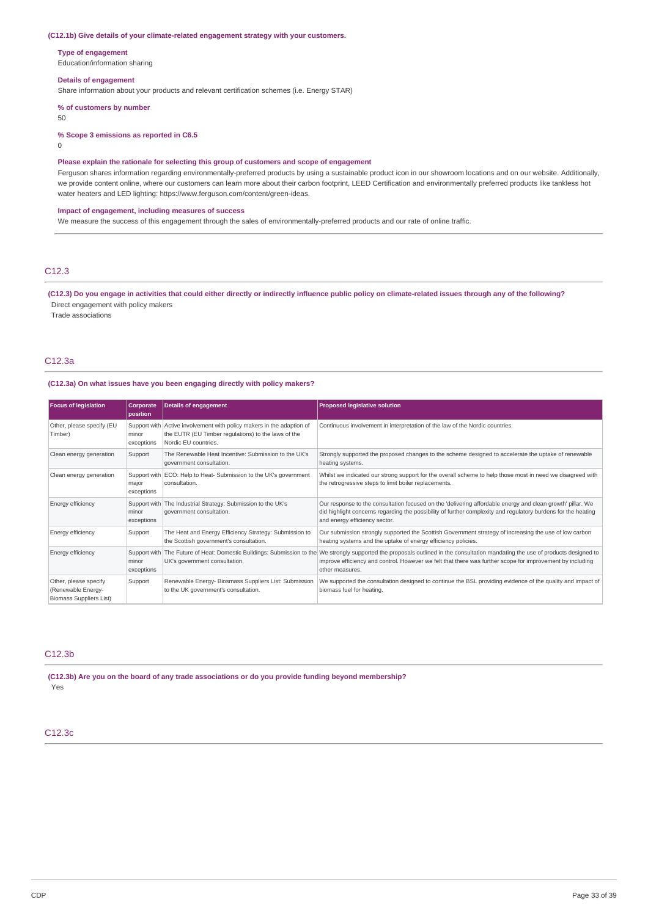#### **(C12.1b) Give details of your climate-related engagement strategy with your customers.**

#### **Type of engagement**

Education/information sharing

#### **Details of engagement**

Share information about your products and relevant certification schemes (i.e. Energy STAR)

**% of customers by number**

#### 50

**% Scope 3 emissions as reported in C6.5**

 $\Omega$ 

#### **Please explain the rationale for selecting this group of customers and scope of engagement**

Ferguson shares information regarding environmentally-preferred products by using a sustainable product icon in our showroom locations and on our website. Additionally, we provide content online, where our customers can learn more about their carbon footprint, LEED Certification and environmentally preferred products like tankless hot water heaters and LED lighting: https://www.ferguson.com/content/green-ideas.

#### **Impact of engagement, including measures of success**

We measure the success of this engagement through the sales of environmentally-preferred products and our rate of online traffic.

## C12.3

(C12.3) Do you engage in activities that could either directly or indirectly influence public policy on climate-related issues through any of the following? Direct engagement with policy makers

Trade associations

### C12.3a

#### **(C12.3a) On what issues have you been engaging directly with policy makers?**

| <b>Focus of legislation</b>                                            | Corporate<br>position | Details of engagement                                                                                                                                | <b>Proposed legislative solution</b>                                                                                                                                                                                                                                                                              |
|------------------------------------------------------------------------|-----------------------|------------------------------------------------------------------------------------------------------------------------------------------------------|-------------------------------------------------------------------------------------------------------------------------------------------------------------------------------------------------------------------------------------------------------------------------------------------------------------------|
| Other, please specify (EU<br>Timber)                                   | minor<br>exceptions   | Support with Active involvement with policy makers in the adaption of<br>the EUTR (EU Timber regulations) to the laws of the<br>Nordic EU countries. | Continuous involvement in interpretation of the law of the Nordic countries.                                                                                                                                                                                                                                      |
| Clean energy generation                                                | Support               | The Renewable Heat Incentive: Submission to the UK's<br>government consultation.                                                                     | Strongly supported the proposed changes to the scheme designed to accelerate the uptake of renewable<br>heating systems.                                                                                                                                                                                          |
| Clean energy generation                                                | major<br>exceptions   | Support with ECO: Help to Heat- Submission to the UK's government<br>consultation.                                                                   | Whilst we indicated our strong support for the overall scheme to help those most in need we disagreed with<br>the retrogressive steps to limit boiler replacements.                                                                                                                                               |
| Energy efficiency                                                      | minor<br>exceptions   | Support with The Industrial Strategy: Submission to the UK's<br>government consultation.                                                             | Our response to the consultation focused on the 'delivering affordable energy and clean growth' pillar. We<br>did highlight concerns regarding the possibility of further complexity and regulatory burdens for the heating<br>and energy efficiency sector.                                                      |
| Energy efficiency                                                      | Support               | The Heat and Energy Efficiency Strategy: Submission to<br>the Scottish government's consultation.                                                    | Our submission strongly supported the Scottish Government strategy of increasing the use of low carbon<br>heating systems and the uptake of energy efficiency policies.                                                                                                                                           |
| Energy efficiency                                                      | minor<br>exceptions   | UK's government consultation.                                                                                                                        | Support with The Future of Heat: Domestic Buildings: Submission to the We strongly supported the proposals outlined in the consultation mandating the use of products designed to<br>improve efficiency and control. However we felt that there was further scope for improvement by including<br>other measures. |
| Other, please specify<br>(Renewable Energy-<br>Biomass Suppliers List) | Support               | Renewable Energy- Biosmass Suppliers List: Submission<br>to the UK government's consultation.                                                        | We supported the consultation designed to continue the BSL providing evidence of the quality and impact of<br>biomass fuel for heating.                                                                                                                                                                           |

### C12.3b

**(C12.3b) Are you on the board of any trade associations or do you provide funding beyond membership?** Yes

## C12.3c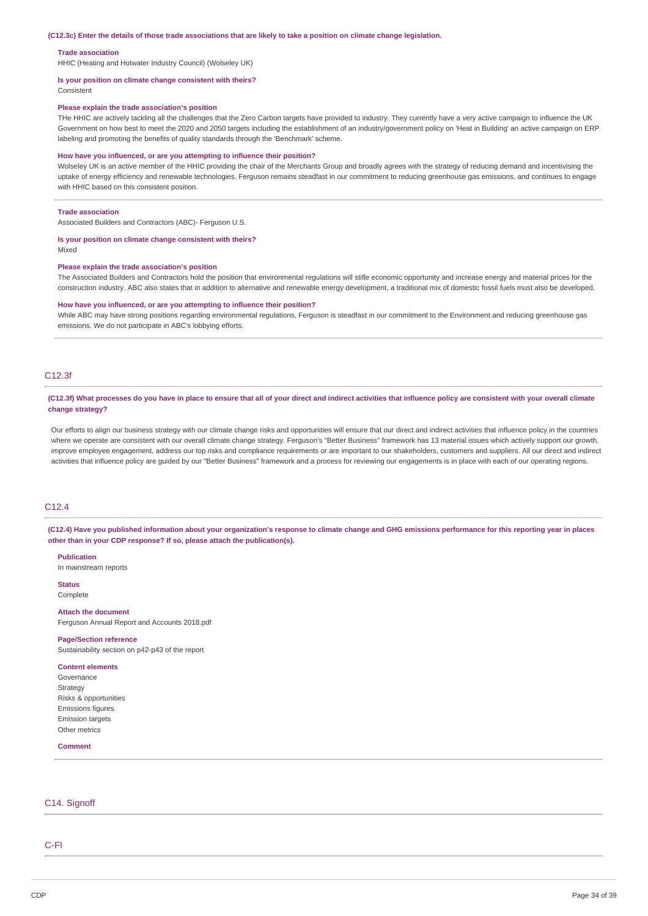#### (C12.3c) Enter the details of those trade associations that are likely to take a position on climate change legislation.

#### **Trade association**

HHIC (Heating and Hotwater Industry Council) (Wolseley UK)

#### **Is your position on climate change consistent with theirs?**

Consistent

#### **Please explain the trade association's position**

THe HHIC are actively tackling all the challenges that the Zero Carbon targets have provided to industry. They currently have a very active campaign to influence the UK Government on how best to meet the 2020 and 2050 targets including the establishment of an industry/government policy on 'Heat in Building' an active campaign on ERP labeling and promoting the benefits of quality standards through the 'Benchmark' scheme.

#### **How have you influenced, or are you attempting to influence their position?**

Wolseley UK is an active member of the HHIC providing the chair of the Merchants Group and broadly agrees with the strategy of reducing demand and incentivising the uptake of energy efficiency and renewable technologies. Ferguson remains steadfast in our commitment to reducing greenhouse gas emissions, and continues to engage with HHIC based on this consistent position.

#### **Trade association**

Associated Builders and Contractors (ABC)- Ferguson U.S.

### **Is your position on climate change consistent with theirs?**

Mixed

#### **Please explain the trade association's position**

The Associated Builders and Contractors hold the position that environmental regulations will stifle economic opportunity and increase energy and material prices for the construction industry. ABC also states that in addition to alternative and renewable energy development, a traditional mix of domestic fossil fuels must also be developed.

#### **How have you influenced, or are you attempting to influence their position?**

While ABC may have strong positions regarding environmental regulations, Ferguson is steadfast in our commitment to the Environment and reducing greenhouse gas emissions. We do not participate in ABC's lobbying efforts.

## C12.3f

#### (C12.3f) What processes do you have in place to ensure that all of your direct and indirect activities that influence policy are consistent with your overall climate **change strategy?**

Our efforts to align our business strategy with our climate change risks and opportunities will ensure that our direct and indirect activities that influence policy in the countries where we operate are consistent with our overall climate change strategy. Ferguson's "Better Business" framework has 13 material issues which actively support our growth, improve employee engagement, address our top risks and compliance requirements or are important to our shakeholders, customers and suppliers. All our direct and indirect activities that influence policy are guided by our "Better Business" framework and a process for reviewing our engagements is in place with each of our operating regions.

### C12.4

(C12.4) Have you published information about your organization's response to climate change and GHG emissions performance for this reporting year in places **other than in your CDP response? If so, please attach the publication(s).**

**Publication** In mainstream reports

**Status** Complete

**Attach the document** Ferguson Annual Report and Accounts 2018.pdf

#### **Page/Section reference**

Sustainability section on p42-p43 of the report

#### **Content elements**

Governance Strategy Risks & opportunities Emissions figures Emission targets Other metrics

#### **Comment**

## C14. Signoff

C-FI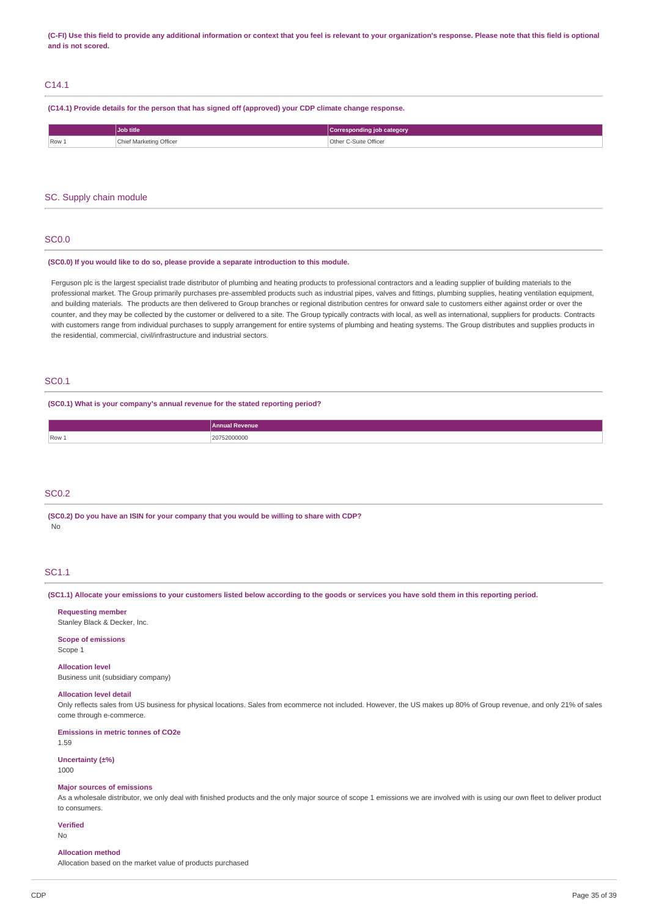(C-FI) Use this field to provide any additional information or context that you feel is relevant to your organization's response. Please note that this field is optional **and is not scored.**

## C14.1

**(C14.1) Provide details for the person that has signed off (approved) your CDP climate change response.**

|       | <b>lob</b> title        | Corresponding job category |
|-------|-------------------------|----------------------------|
| Row 1 | Chief Marketing Officer | Other C-Suite Officer<br>. |

#### SC. Supply chain module

## SC0.0

#### **(SC0.0) If you would like to do so, please provide a separate introduction to this module.**

Ferguson plc is the largest specialist trade distributor of plumbing and heating products to professional contractors and a leading supplier of building materials to the professional market. The Group primarily purchases pre-assembled products such as industrial pipes, valves and fittings, plumbing supplies, heating ventilation equipment, and building materials. The products are then delivered to Group branches or regional distribution centres for onward sale to customers either against order or over the counter, and they may be collected by the customer or delivered to a site. The Group typically contracts with local, as well as international, suppliers for products. Contracts with customers range from individual purchases to supply arrangement for entire systems of plumbing and heating systems. The Group distributes and supplies products in the residential, commercial, civil/infrastructure and industrial sectors.

#### SC0.1

#### **(SC0.1) What is your company's annual revenue for the stated reporting period?**

## SC0.2

**(SC0.2) Do you have an ISIN for your company that you would be willing to share with CDP?** No

### SC1.1

(SC1.1) Allocate your emissions to your customers listed below according to the goods or services you have sold them in this reporting period.

#### **Requesting member**

Stanley Black & Decker, Inc.

## **Scope of emissions**

Scope 1

#### **Allocation level** Business unit (subsidiary company)

## **Allocation level detail**

Only reflects sales from US business for physical locations. Sales from ecommerce not included. However, the US makes up 80% of Group revenue, and only 21% of sales come through e-commerce.

## **Emissions in metric tonnes of CO2e**

1.59

## **Uncertainty (±%)**

1000

### **Major sources of emissions**

As a wholesale distributor, we only deal with finished products and the only major source of scope 1 emissions we are involved with is using our own fleet to deliver product to consumers.

### **Verified**

No

## **Allocation method**

Allocation based on the market value of products purchased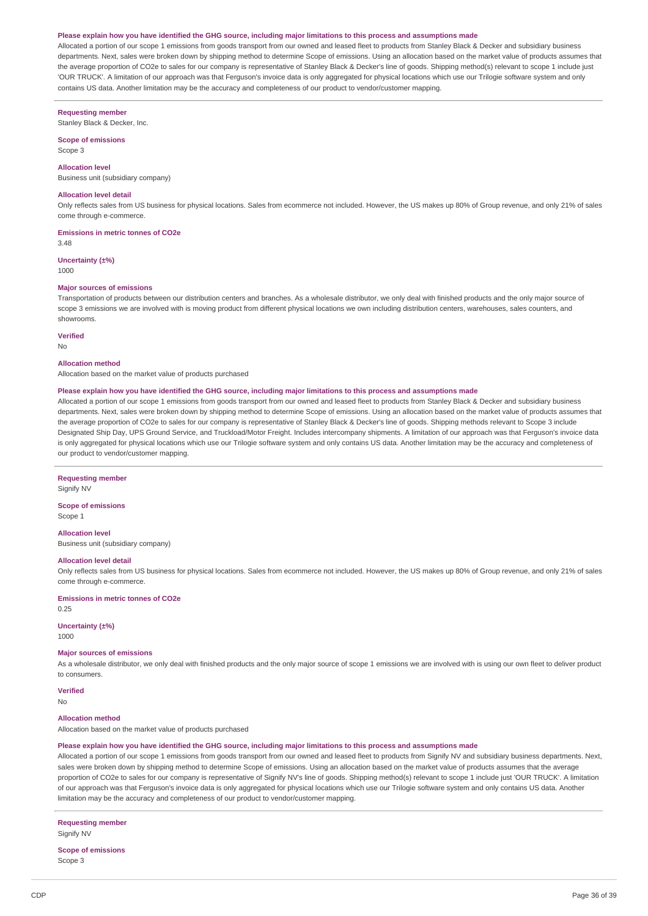#### Please explain how you have identified the GHG source, including major limitations to this process and assumptions made

Allocated a portion of our scope 1 emissions from goods transport from our owned and leased fleet to products from Stanley Black & Decker and subsidiary business departments. Next, sales were broken down by shipping method to determine Scope of emissions. Using an allocation based on the market value of products assumes that the average proportion of CO2e to sales for our company is representative of Stanley Black & Decker's line of goods. Shipping method(s) relevant to scope 1 include just 'OUR TRUCK'. A limitation of our approach was that Ferguson's invoice data is only aggregated for physical locations which use our Trilogie software system and only contains US data. Another limitation may be the accuracy and completeness of our product to vendor/customer mapping.

**Requesting member**

Stanley Black & Decker, Inc.

**Scope of emissions** Scope 3

**Allocation level** Business unit (subsidiary company)

#### **Allocation level detail**

Only reflects sales from US business for physical locations. Sales from ecommerce not included. However, the US makes up 80% of Group revenue, and only 21% of sales come through e-commerce.

**Emissions in metric tonnes of CO2e**

3.48

**Uncertainty (±%)**

1000

#### **Major sources of emissions**

Transportation of products between our distribution centers and branches. As a wholesale distributor, we only deal with finished products and the only major source of scope 3 emissions we are involved with is moving product from different physical locations we own including distribution centers, warehouses, sales counters, and showrooms.

#### **Verified**

No

#### **Allocation method**

Allocation based on the market value of products purchased

#### Please explain how you have identified the GHG source, including major limitations to this process and assumptions made

Allocated a portion of our scope 1 emissions from goods transport from our owned and leased fleet to products from Stanley Black & Decker and subsidiary business departments. Next, sales were broken down by shipping method to determine Scope of emissions. Using an allocation based on the market value of products assumes that the average proportion of CO2e to sales for our company is representative of Stanley Black & Decker's line of goods. Shipping methods relevant to Scope 3 include Designated Ship Day, UPS Ground Service, and Truckload/Motor Freight. Includes intercompany shipments. A limitation of our approach was that Ferguson's invoice data is only aggregated for physical locations which use our Trilogie software system and only contains US data. Another limitation may be the accuracy and completeness of our product to vendor/customer mapping.

#### **Requesting member**

Signify NV

#### **Scope of emissions**

Scope 1

#### **Allocation level**

Business unit (subsidiary company)

### **Allocation level detail**

Only reflects sales from US business for physical locations. Sales from ecommerce not included. However, the US makes up 80% of Group revenue, and only 21% of sales come through e-commerce.

## **Emissions in metric tonnes of CO2e**

0.25

## **Uncertainty (±%)**

1000

#### **Major sources of emissions**

As a wholesale distributor, we only deal with finished products and the only major source of scope 1 emissions we are involved with is using our own fleet to deliver product to consumers.

**Verified**

#### No

## **Allocation method**

Allocation based on the market value of products purchased

Please explain how you have identified the GHG source, including major limitations to this process and assumptions made

Allocated a portion of our scope 1 emissions from goods transport from our owned and leased fleet to products from Signify NV and subsidiary business departments. Next, sales were broken down by shipping method to determine Scope of emissions. Using an allocation based on the market value of products assumes that the average proportion of CO2e to sales for our company is representative of Signify NV's line of goods. Shipping method(s) relevant to scope 1 include just 'OUR TRUCK'. A limitation of our approach was that Ferguson's invoice data is only aggregated for physical locations which use our Trilogie software system and only contains US data. Another limitation may be the accuracy and completeness of our product to vendor/customer mapping.

#### **Requesting member** Signify NV

### **Scope of emissions** Scope 3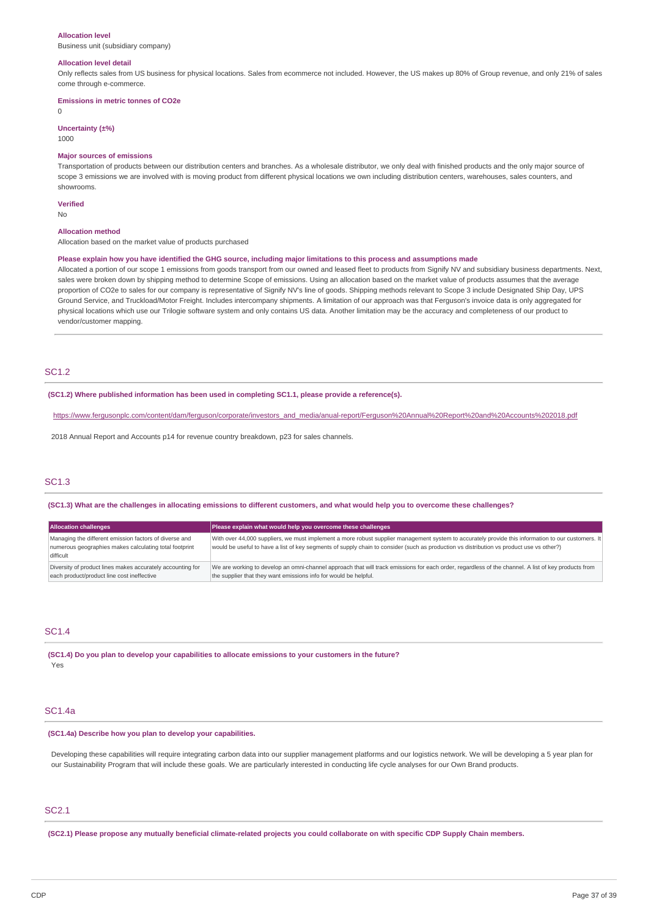#### **Allocation level**

Business unit (subsidiary company)

#### **Allocation level detail**

Only reflects sales from US business for physical locations. Sales from ecommerce not included. However, the US makes up 80% of Group revenue, and only 21% of sales come through e-commerce.

#### **Emissions in metric tonnes of CO2e**

 $\Omega$ 

## **Uncertainty (±%)**

1000

#### **Major sources of emissions**

Transportation of products between our distribution centers and branches. As a wholesale distributor, we only deal with finished products and the only major source of scope 3 emissions we are involved with is moving product from different physical locations we own including distribution centers, warehouses, sales counters, and showrooms.

#### **Verified**

No

#### **Allocation method**

Allocation based on the market value of products purchased

#### Please explain how you have identified the GHG source, including major limitations to this process and assumptions made

Allocated a portion of our scope 1 emissions from goods transport from our owned and leased fleet to products from Signify NV and subsidiary business departments. Next, sales were broken down by shipping method to determine Scope of emissions. Using an allocation based on the market value of products assumes that the average proportion of CO2e to sales for our company is representative of Signify NV's line of goods. Shipping methods relevant to Scope 3 include Designated Ship Day, UPS Ground Service, and Truckload/Motor Freight. Includes intercompany shipments. A limitation of our approach was that Ferguson's invoice data is only aggregated for physical locations which use our Trilogie software system and only contains US data. Another limitation may be the accuracy and completeness of our product to vendor/customer mapping.

### SC1.2

## **(SC1.2) Where published information has been used in completing SC1.1, please provide a reference(s).**

[https://www.fergusonplc.com/content/dam/ferguson/corporate/investors\\_and\\_media/anual-report/Ferguson%20Annual%20Report%20and%20Accounts%202018.pdf](https://www.fergusonplc.com/content/dam/ferguson/corporate/investors_and_media/anual-report/Ferguson%20Annual%20Report%20and%20Accounts%202018.pdf)

2018 Annual Report and Accounts p14 for revenue country breakdown, p23 for sales channels.

## SC1.3

#### (SC1.3) What are the challenges in allocating emissions to different customers, and what would help you to overcome these challenges?

| <b>Allocation challenges</b>                                                                                                  | Please explain what would help you overcome these challenges                                                                                                                                                                                                                                   |
|-------------------------------------------------------------------------------------------------------------------------------|------------------------------------------------------------------------------------------------------------------------------------------------------------------------------------------------------------------------------------------------------------------------------------------------|
| Managing the different emission factors of diverse and<br>numerous geographies makes calculating total footprint<br>difficult | With over 44,000 suppliers, we must implement a more robust supplier management system to accurately provide this information to our customers. It<br>would be useful to have a list of key segments of supply chain to consider (such as production vs distribution vs product use vs other?) |
| Diversity of product lines makes accurately accounting for<br>each product/product line cost ineffective                      | We are working to develop an omni-channel approach that will track emissions for each order, regardless of the channel. A list of key products from<br>the supplier that they want emissions info for would be helpful.                                                                        |

#### SC1.4

**(SC1.4) Do you plan to develop your capabilities to allocate emissions to your customers in the future?** Yes

## SC1.4a

#### **(SC1.4a) Describe how you plan to develop your capabilities.**

Developing these capabilities will require integrating carbon data into our supplier management platforms and our logistics network. We will be developing a 5 year plan for our Sustainability Program that will include these goals. We are particularly interested in conducting life cycle analyses for our Own Brand products.

## SC2.1

(SC2.1) Please propose any mutually beneficial climate-related projects you could collaborate on with specific CDP Supply Chain members.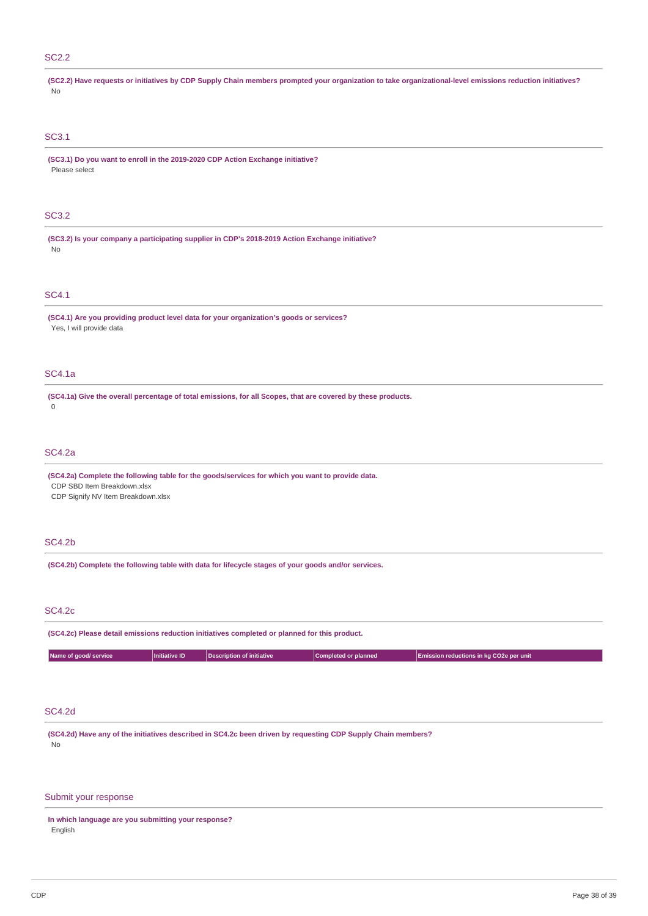### SC2.2

(SC2.2) Have requests or initiatives by CDP Supply Chain members prompted your organization to take organizational-level emissions reduction initiatives? No

## SC3.1

**(SC3.1) Do you want to enroll in the 2019-2020 CDP Action Exchange initiative?** Please select

#### SC3.2

**(SC3.2) Is your company a participating supplier in CDP's 2018-2019 Action Exchange initiative?** No

## SC4.1

**(SC4.1) Are you providing product level data for your organization's goods or services?** Yes, I will provide data

## SC4.1a

(SC4.1a) Give the overall percentage of total emissions, for all Scopes, that are covered by these products.  $\Omega$ 

## SC4.2a

**(SC4.2a) Complete the following table for the goods/services for which you want to provide data.** CDP SBD Item Breakdown.xlsx

CDP Signify NV Item Breakdown.xlsx

## SC4.2b

**(SC4.2b) Complete the following table with data for lifecycle stages of your goods and/or services.**

### SC4.2c

**(SC4.2c) Please detail emissions reduction initiatives completed or planned for this product.**

| Name of good/ service | Initiative ID | <b>I</b> Description of initiative | Completed or planned_ | <b>Emission reductions in kg CO2e per unit</b> |
|-----------------------|---------------|------------------------------------|-----------------------|------------------------------------------------|
|                       |               |                                    |                       |                                                |

### SC4.2d

(SC4.2d) Have any of the initiatives described in SC4.2c been driven by requesting CDP Supply Chain members? No

## Submit your response

**In which language are you submitting your response?** English